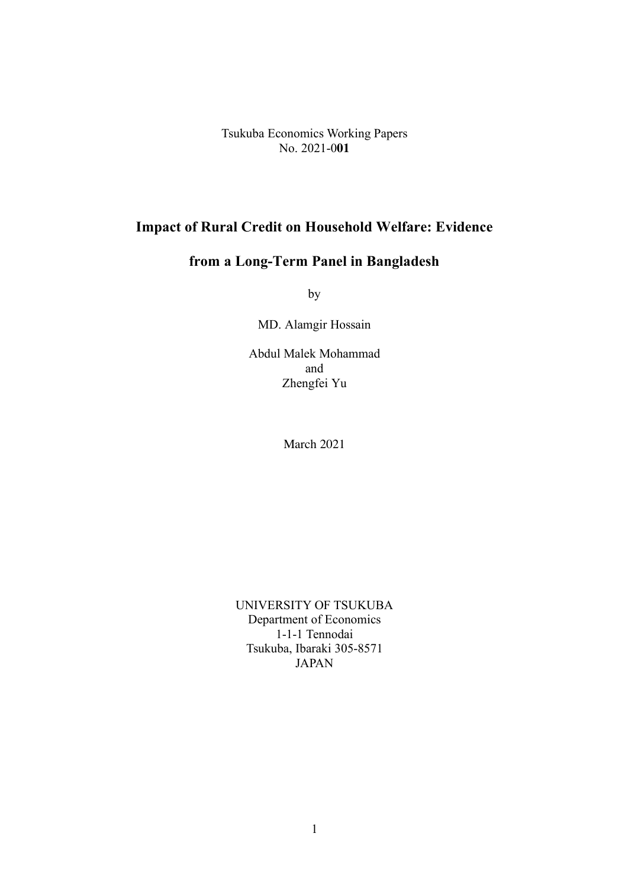Tsukuba Economics Working Papers No. 2021-0**01**

## **Impact of Rural Credit on Household Welfare: Evidence**

# **from a Long-Term Panel in Bangladesh**

by

MD. Alamgir Hossain

Abdul Malek Mohammad and Zhengfei Yu

March 2021

UNIVERSITY OF TSUKUBA Department of Economics 1-1-1 Tennodai Tsukuba, Ibaraki 305-8571 JAPAN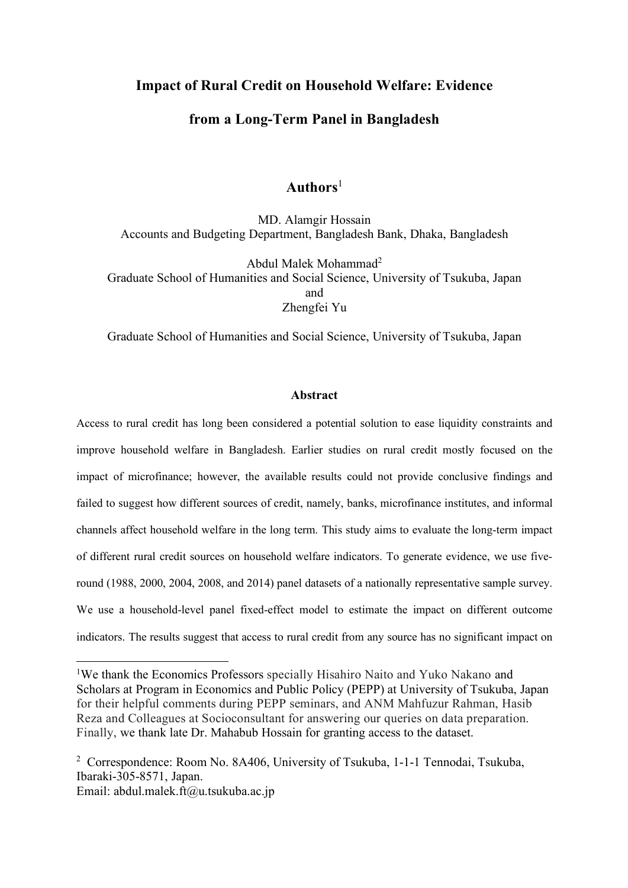## **Impact of Rural Credit on Household Welfare: Evidence**

## **from a Long-Term Panel in Bangladesh**

## **Authors**<sup>1</sup>

MD. Alamgir Hossain Accounts and Budgeting Department, Bangladesh Bank, Dhaka, Bangladesh

Abdul Malek Mohammad2 Graduate School of Humanities and Social Science, University of Tsukuba, Japan and Zhengfei Yu

Graduate School of Humanities and Social Science, University of Tsukuba, Japan

#### **Abstract**

Access to rural credit has long been considered a potential solution to ease liquidity constraints and improve household welfare in Bangladesh. Earlier studies on rural credit mostly focused on the impact of microfinance; however, the available results could not provide conclusive findings and failed to suggest how different sources of credit, namely, banks, microfinance institutes, and informal channels affect household welfare in the long term. This study aims to evaluate the long-term impact of different rural credit sources on household welfare indicators. To generate evidence, we use fiveround (1988, 2000, 2004, 2008, and 2014) panel datasets of a nationally representative sample survey. We use a household-level panel fixed-effect model to estimate the impact on different outcome indicators. The results suggest that access to rural credit from any source has no significant impact on

Email: abdul.malek.ft@u.tsukuba.ac.jp

 $\frac{1}{1}$ We thank the Economics Professors specially Hisahiro Naito and Yuko Nakano and Scholars at Program in Economics and Public Policy (PEPP) at University of Tsukuba, Japan for their helpful comments during PEPP seminars, and ANM Mahfuzur Rahman, Hasib Reza and Colleagues at Socioconsultant for answering our queries on data preparation. Finally, we thank late Dr. Mahabub Hossain for granting access to the dataset.

<sup>2</sup> Correspondence: Room No. 8A406, University of Tsukuba, 1-1-1 Tennodai, Tsukuba, Ibaraki-305-8571, Japan.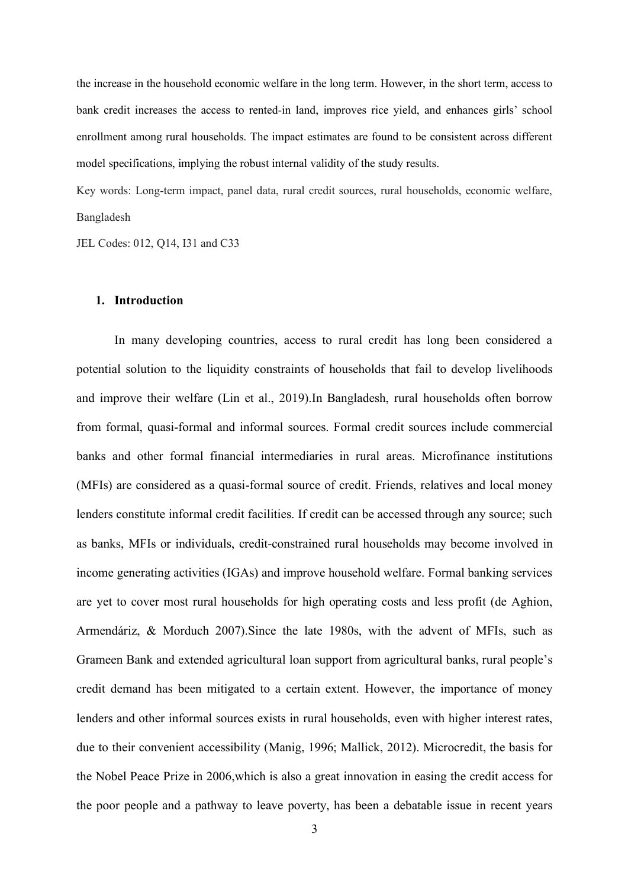the increase in the household economic welfare in the long term. However, in the short term, access to bank credit increases the access to rented-in land, improves rice yield, and enhances girls' school enrollment among rural households. The impact estimates are found to be consistent across different model specifications, implying the robust internal validity of the study results.

Key words: Long-term impact, panel data, rural credit sources, rural households, economic welfare, Bangladesh

JEL Codes: 012, Q14, I31 and C33

#### **1. Introduction**

In many developing countries, access to rural credit has long been considered a potential solution to the liquidity constraints of households that fail to develop livelihoods and improve their welfare (Lin et al., 2019).In Bangladesh, rural households often borrow from formal, quasi-formal and informal sources. Formal credit sources include commercial banks and other formal financial intermediaries in rural areas. Microfinance institutions (MFIs) are considered as a quasi-formal source of credit. Friends, relatives and local money lenders constitute informal credit facilities. If credit can be accessed through any source; such as banks, MFIs or individuals, credit-constrained rural households may become involved in income generating activities (IGAs) and improve household welfare. Formal banking services are yet to cover most rural households for high operating costs and less profit (de Aghion, Armendáriz, & Morduch 2007).Since the late 1980s, with the advent of MFIs, such as Grameen Bank and extended agricultural loan support from agricultural banks, rural people's credit demand has been mitigated to a certain extent. However, the importance of money lenders and other informal sources exists in rural households, even with higher interest rates, due to their convenient accessibility (Manig, 1996; Mallick, 2012). Microcredit, the basis for the Nobel Peace Prize in 2006,which is also a great innovation in easing the credit access for the poor people and a pathway to leave poverty, has been a debatable issue in recent years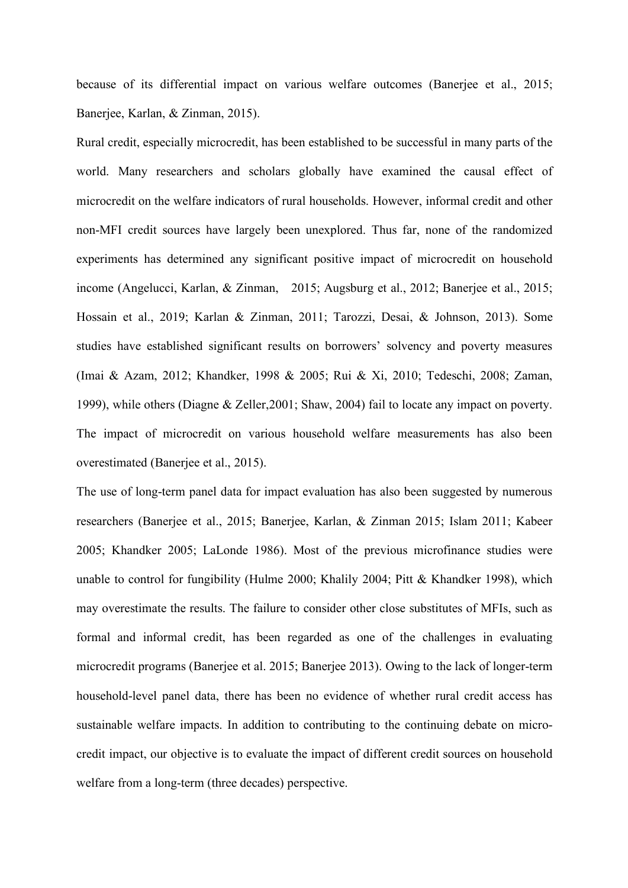because of its differential impact on various welfare outcomes (Banerjee et al., 2015; Banerjee, Karlan, & Zinman, 2015).

Rural credit, especially microcredit, has been established to be successful in many parts of the world. Many researchers and scholars globally have examined the causal effect of microcredit on the welfare indicators of rural households. However, informal credit and other non-MFI credit sources have largely been unexplored. Thus far, none of the randomized experiments has determined any significant positive impact of microcredit on household income (Angelucci, Karlan, & Zinman, 2015; Augsburg et al., 2012; Banerjee et al., 2015; Hossain et al., 2019; Karlan & Zinman, 2011; Tarozzi, Desai, & Johnson, 2013). Some studies have established significant results on borrowers' solvency and poverty measures (Imai & Azam, 2012; Khandker, 1998 & 2005; Rui & Xi, 2010; Tedeschi, 2008; Zaman, 1999), while others (Diagne & Zeller,2001; Shaw, 2004) fail to locate any impact on poverty. The impact of microcredit on various household welfare measurements has also been overestimated (Banerjee et al., 2015).

The use of long-term panel data for impact evaluation has also been suggested by numerous researchers (Banerjee et al., 2015; Banerjee, Karlan, & Zinman 2015; Islam 2011; Kabeer 2005; Khandker 2005; LaLonde 1986). Most of the previous microfinance studies were unable to control for fungibility (Hulme 2000; Khalily 2004; Pitt & Khandker 1998), which may overestimate the results. The failure to consider other close substitutes of MFIs, such as formal and informal credit, has been regarded as one of the challenges in evaluating microcredit programs (Banerjee et al. 2015; Banerjee 2013). Owing to the lack of longer-term household-level panel data, there has been no evidence of whether rural credit access has sustainable welfare impacts. In addition to contributing to the continuing debate on microcredit impact, our objective is to evaluate the impact of different credit sources on household welfare from a long-term (three decades) perspective.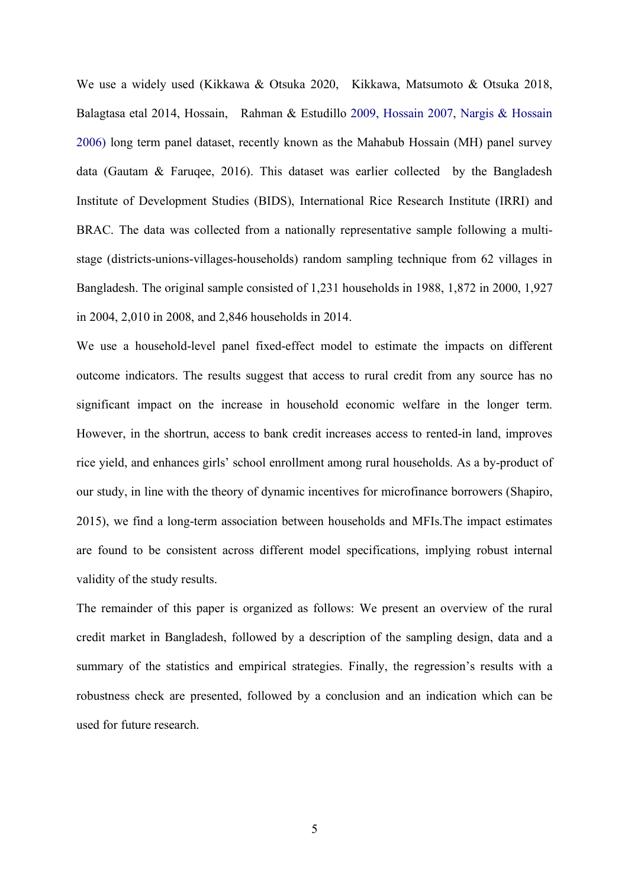We use a widely used (Kikkawa & Otsuka 2020, Kikkawa, Matsumoto & Otsuka 2018, Balagtasa etal 2014, Hossain, Rahman & Estudillo 2009, Hossain 2007, Nargis & Hossain 2006) long term panel dataset, recently known as the Mahabub Hossain (MH) panel survey data (Gautam & Faruqee, 2016). This dataset was earlier collected by the Bangladesh Institute of Development Studies (BIDS), International Rice Research Institute (IRRI) and BRAC. The data was collected from a nationally representative sample following a multistage (districts-unions-villages-households) random sampling technique from 62 villages in Bangladesh. The original sample consisted of 1,231 households in 1988, 1,872 in 2000, 1,927 in 2004, 2,010 in 2008, and 2,846 households in 2014.

We use a household-level panel fixed-effect model to estimate the impacts on different outcome indicators. The results suggest that access to rural credit from any source has no significant impact on the increase in household economic welfare in the longer term. However, in the shortrun, access to bank credit increases access to rented-in land, improves rice yield, and enhances girls' school enrollment among rural households. As a by-product of our study, in line with the theory of dynamic incentives for microfinance borrowers (Shapiro, 2015), we find a long-term association between households and MFIs.The impact estimates are found to be consistent across different model specifications, implying robust internal validity of the study results.

The remainder of this paper is organized as follows: We present an overview of the rural credit market in Bangladesh, followed by a description of the sampling design, data and a summary of the statistics and empirical strategies. Finally, the regression's results with a robustness check are presented, followed by a conclusion and an indication which can be used for future research.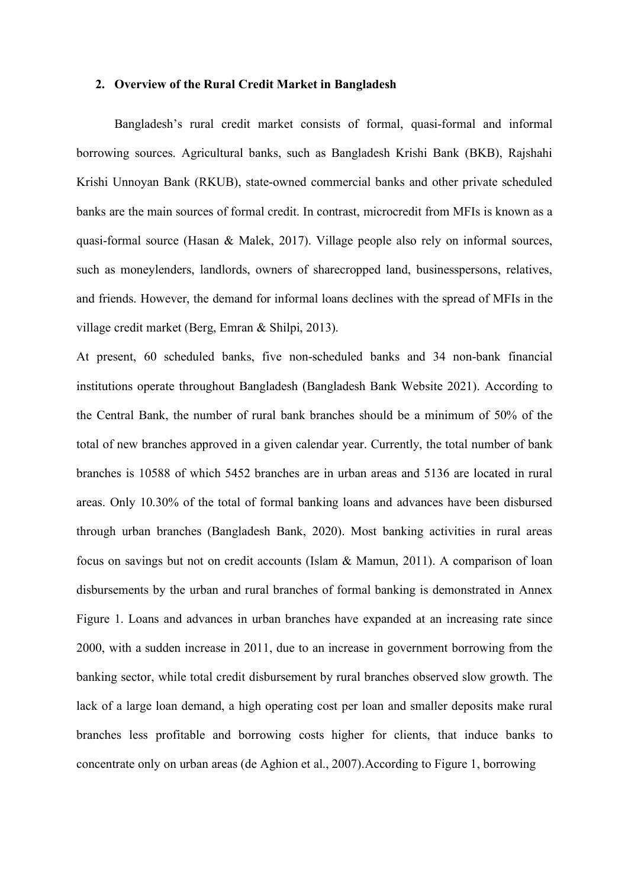#### **2. Overview of the Rural Credit Market in Bangladesh**

Bangladesh's rural credit market consists of formal, quasi-formal and informal borrowing sources. Agricultural banks, such as Bangladesh Krishi Bank (BKB), Rajshahi Krishi Unnoyan Bank (RKUB), state-owned commercial banks and other private scheduled banks are the main sources of formal credit. In contrast, microcredit from MFIs is known as a quasi-formal source (Hasan & Malek, 2017). Village people also rely on informal sources, such as moneylenders, landlords, owners of sharecropped land, businesspersons, relatives, and friends. However, the demand for informal loans declines with the spread of MFIs in the village credit market (Berg, Emran & Shilpi, 2013).

At present, 60 scheduled banks, five non-scheduled banks and 34 non-bank financial institutions operate throughout Bangladesh (Bangladesh Bank Website 2021). According to the Central Bank, the number of rural bank branches should be a minimum of 50% of the total of new branches approved in a given calendar year. Currently, the total number of bank branches is 10588 of which 5452 branches are in urban areas and 5136 are located in rural areas. Only 10.30% of the total of formal banking loans and advances have been disbursed through urban branches (Bangladesh Bank, 2020). Most banking activities in rural areas focus on savings but not on credit accounts (Islam & Mamun, 2011). A comparison of loan disbursements by the urban and rural branches of formal banking is demonstrated in Annex Figure 1. Loans and advances in urban branches have expanded at an increasing rate since 2000, with a sudden increase in 2011, due to an increase in government borrowing from the banking sector, while total credit disbursement by rural branches observed slow growth. The lack of a large loan demand, a high operating cost per loan and smaller deposits make rural branches less profitable and borrowing costs higher for clients, that induce banks to concentrate only on urban areas (de Aghion et al., 2007).According to Figure 1, borrowing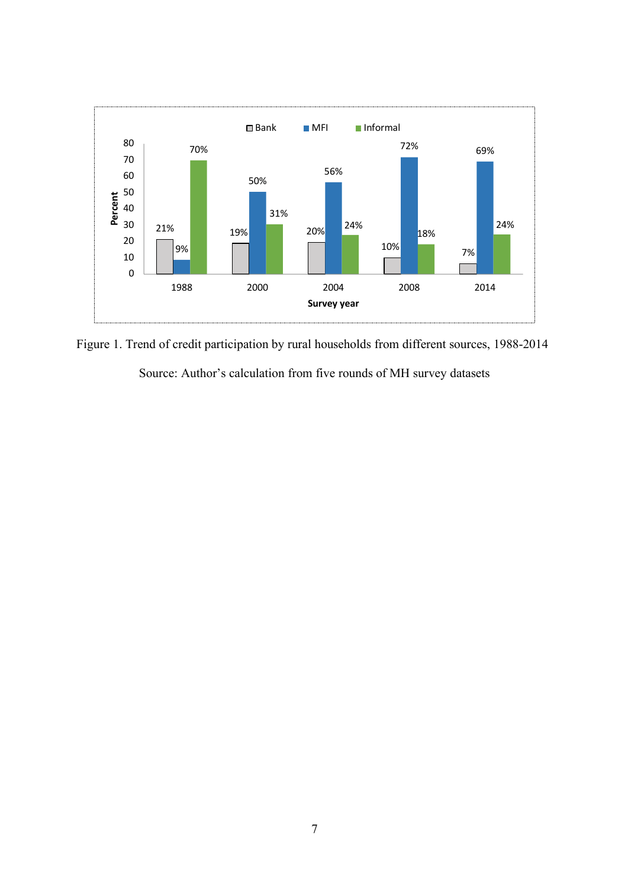

Figure 1. Trend of credit participation by rural households from different sources, 1988-2014 Source: Author's calculation from five rounds of MH survey datasets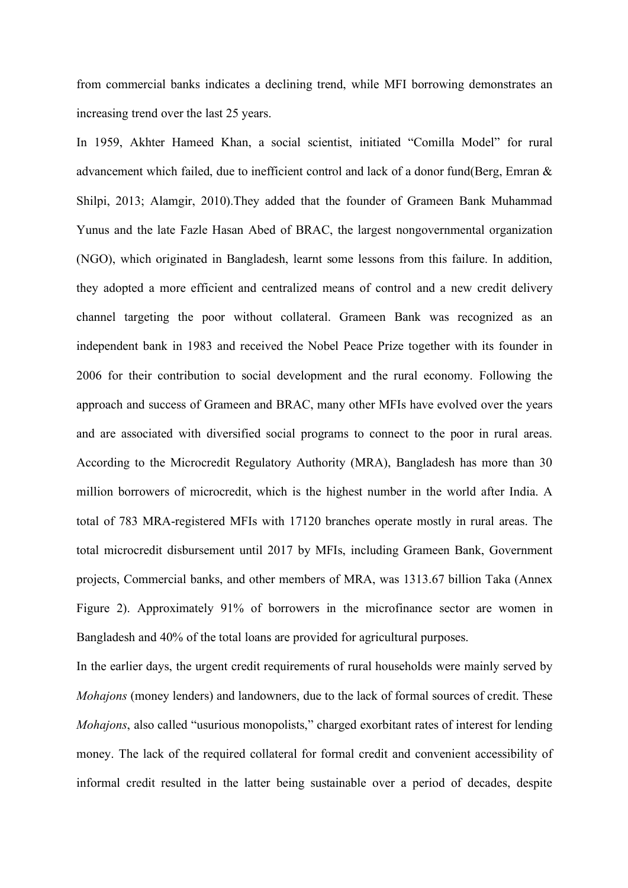from commercial banks indicates a declining trend, while MFI borrowing demonstrates an increasing trend over the last 25 years.

In 1959, Akhter Hameed Khan, a social scientist, initiated "Comilla Model" for rural advancement which failed, due to inefficient control and lack of a donor fund(Berg, Emran & Shilpi, 2013; Alamgir, 2010).They added that the founder of Grameen Bank Muhammad Yunus and the late Fazle Hasan Abed of BRAC, the largest nongovernmental organization (NGO), which originated in Bangladesh, learnt some lessons from this failure. In addition, they adopted a more efficient and centralized means of control and a new credit delivery channel targeting the poor without collateral. Grameen Bank was recognized as an independent bank in 1983 and received the Nobel Peace Prize together with its founder in 2006 for their contribution to social development and the rural economy. Following the approach and success of Grameen and BRAC, many other MFIs have evolved over the years and are associated with diversified social programs to connect to the poor in rural areas. According to the Microcredit Regulatory Authority (MRA), Bangladesh has more than 30 million borrowers of microcredit, which is the highest number in the world after India. A total of 783 MRA-registered MFIs with 17120 branches operate mostly in rural areas. The total microcredit disbursement until 2017 by MFIs, including Grameen Bank, Government projects, Commercial banks, and other members of MRA, was 1313.67 billion Taka (Annex Figure 2). Approximately 91% of borrowers in the microfinance sector are women in Bangladesh and 40% of the total loans are provided for agricultural purposes.

In the earlier days, the urgent credit requirements of rural households were mainly served by *Mohajons* (money lenders) and landowners, due to the lack of formal sources of credit. These *Mohajons*, also called "usurious monopolists," charged exorbitant rates of interest for lending money. The lack of the required collateral for formal credit and convenient accessibility of informal credit resulted in the latter being sustainable over a period of decades, despite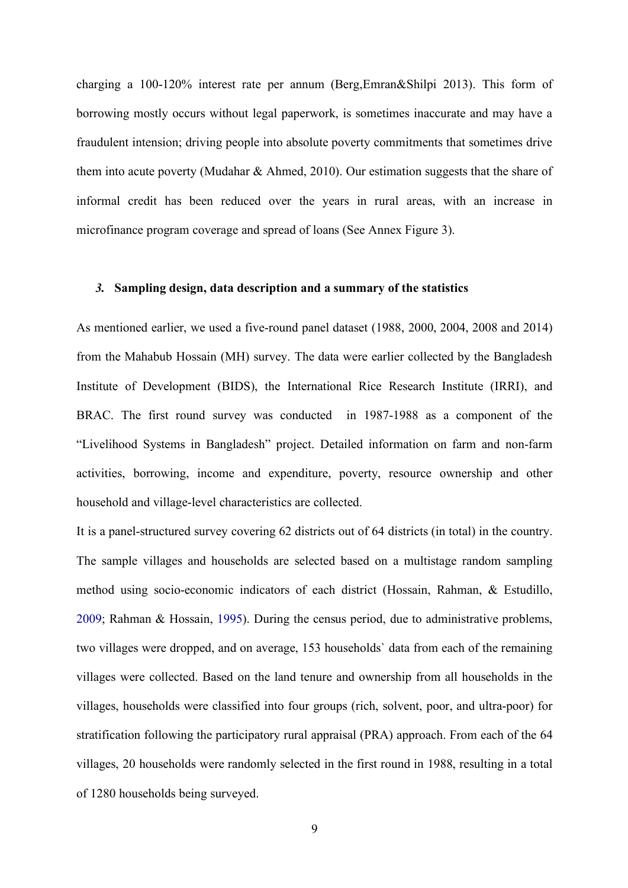charging a 100-120% interest rate per annum (Berg,Emran&Shilpi 2013). This form of borrowing mostly occurs without legal paperwork, is sometimes inaccurate and may have a fraudulent intension; driving people into absolute poverty commitments that sometimes drive them into acute poverty (Mudahar & Ahmed, 2010). Our estimation suggests that the share of informal credit has been reduced over the years in rural areas, with an increase in microfinance program coverage and spread of loans (See Annex Figure 3).

#### *3.* **Sampling design, data description and a summary of the statistics**

As mentioned earlier, we used a five-round panel dataset (1988, 2000, 2004, 2008 and 2014) from the Mahabub Hossain (MH) survey. The data were earlier collected by the Bangladesh Institute of Development (BIDS), the International Rice Research Institute (IRRI), and BRAC. The first round survey was conducted in 1987-1988 as a component of the "Livelihood Systems in Bangladesh" project. Detailed information on farm and non-farm activities, borrowing, income and expenditure, poverty, resource ownership and other household and village-level characteristics are collected.

It is a panel-structured survey covering 62 districts out of 64 districts (in total) in the country. The sample villages and households are selected based on a multistage random sampling method using socio-economic indicators of each district (Hossain, Rahman, & Estudillo, 2009; Rahman & Hossain, 1995). During the census period, due to administrative problems, two villages were dropped, and on average, 153 households` data from each of the remaining villages were collected. Based on the land tenure and ownership from all households in the villages, households were classified into four groups (rich, solvent, poor, and ultra-poor) for stratification following the participatory rural appraisal (PRA) approach. From each of the 64 villages, 20 households were randomly selected in the first round in 1988, resulting in a total of 1280 households being surveyed.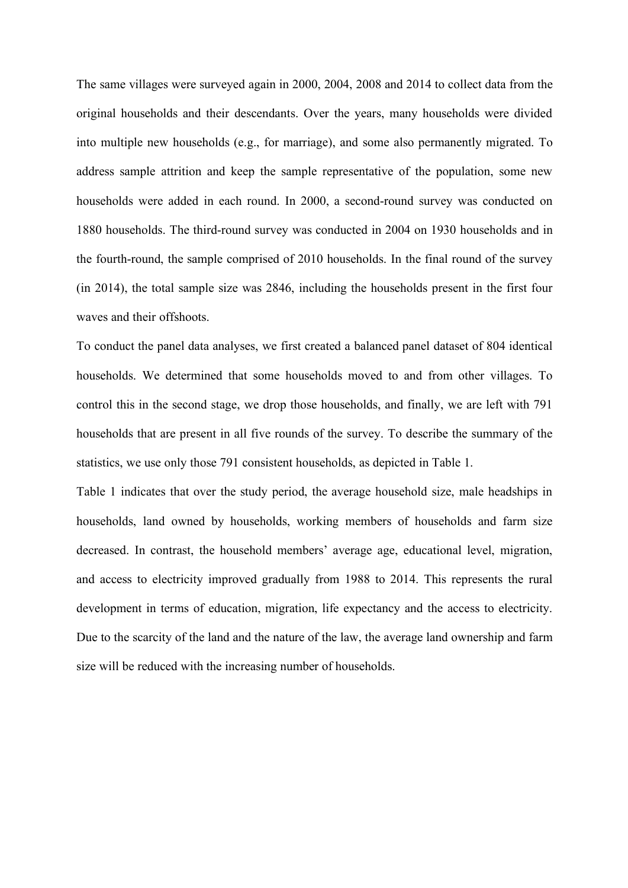The same villages were surveyed again in 2000, 2004, 2008 and 2014 to collect data from the original households and their descendants. Over the years, many households were divided into multiple new households (e.g., for marriage), and some also permanently migrated. To address sample attrition and keep the sample representative of the population, some new households were added in each round. In 2000, a second-round survey was conducted on 1880 households. The third-round survey was conducted in 2004 on 1930 households and in the fourth-round, the sample comprised of 2010 households. In the final round of the survey (in 2014), the total sample size was 2846, including the households present in the first four waves and their offshoots.

To conduct the panel data analyses, we first created a balanced panel dataset of 804 identical households. We determined that some households moved to and from other villages. To control this in the second stage, we drop those households, and finally, we are left with 791 households that are present in all five rounds of the survey. To describe the summary of the statistics, we use only those 791 consistent households, as depicted in Table 1.

Table 1 indicates that over the study period, the average household size, male headships in households, land owned by households, working members of households and farm size decreased. In contrast, the household members' average age, educational level, migration, and access to electricity improved gradually from 1988 to 2014. This represents the rural development in terms of education, migration, life expectancy and the access to electricity. Due to the scarcity of the land and the nature of the law, the average land ownership and farm size will be reduced with the increasing number of households.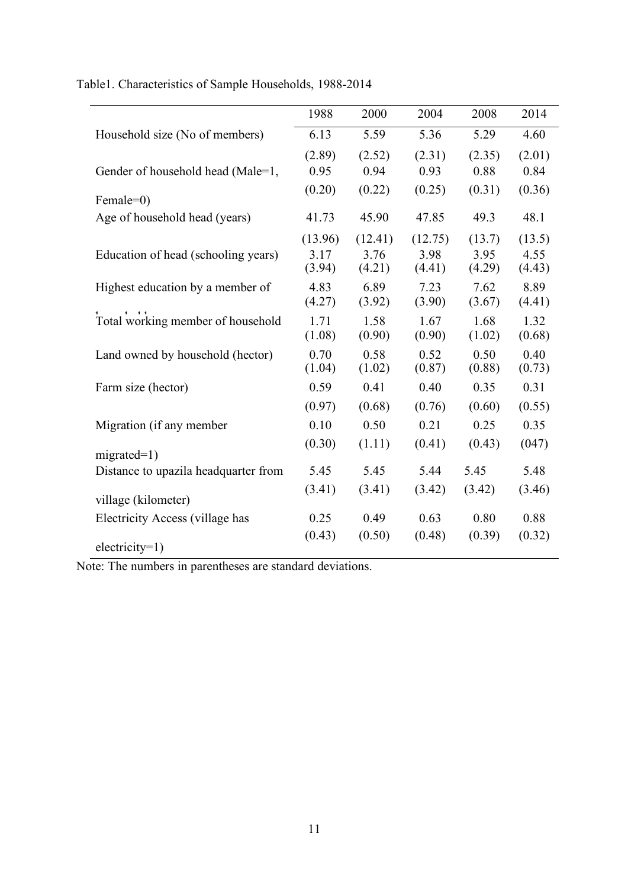|                                      | 1988                      | 2000                      | 2004                      | 2008                     | 2014                     |
|--------------------------------------|---------------------------|---------------------------|---------------------------|--------------------------|--------------------------|
| Household size (No of members)       | 6.13                      | 5.59                      | 5.36                      | 5.29                     | 4.60                     |
| Gender of household head (Male=1,    | (2.89)<br>0.95            | (2.52)<br>0.94            | (2.31)<br>0.93            | (2.35)<br>0.88           | (2.01)<br>0.84           |
| Female=0)                            | (0.20)                    | (0.22)                    | (0.25)                    | (0.31)                   | (0.36)                   |
| Age of household head (years)        | 41.73                     | 45.90                     | 47.85                     | 49.3                     | 48.1                     |
| Education of head (schooling years)  | (13.96)<br>3.17<br>(3.94) | (12.41)<br>3.76<br>(4.21) | (12.75)<br>3.98<br>(4.41) | (13.7)<br>3.95<br>(4.29) | (13.5)<br>4.55<br>(4.43) |
| Highest education by a member of     | 4.83<br>(4.27)            | 6.89<br>(3.92)            | 7.23<br>(3.90)            | 7.62<br>(3.67)           | 8.89<br>(4.41)           |
| Total working member of household    | 1.71<br>(1.08)            | 1.58<br>(0.90)            | 1.67<br>(0.90)            | 1.68<br>(1.02)           | 1.32<br>(0.68)           |
| Land owned by household (hector)     | 0.70<br>(1.04)            | 0.58<br>(1.02)            | 0.52<br>(0.87)            | 0.50<br>(0.88)           | 0.40<br>(0.73)           |
| Farm size (hector)                   | 0.59                      | 0.41                      | 0.40                      | 0.35                     | 0.31                     |
|                                      | (0.97)                    | (0.68)                    | (0.76)                    | (0.60)                   | (0.55)                   |
| Migration (if any member             | 0.10                      | 0.50                      | 0.21                      | 0.25                     | 0.35                     |
| $migrated=1)$                        | (0.30)                    | (1.11)                    | (0.41)                    | (0.43)                   | (047)                    |
| Distance to upazila headquarter from | 5.45                      | 5.45                      | 5.44                      | 5.45                     | 5.48                     |
| village (kilometer)                  | (3.41)                    | (3.41)                    | (3.42)                    | (3.42)                   | (3.46)                   |
| Electricity Access (village has      | 0.25                      | 0.49                      | 0.63                      | 0.80                     | 0.88                     |
| $electricity=1)$                     | (0.43)                    | (0.50)                    | (0.48)                    | (0.39)                   | (0.32)                   |

Table1. Characteristics of Sample Households, 1988-2014

Note: The numbers in parentheses are standard deviations.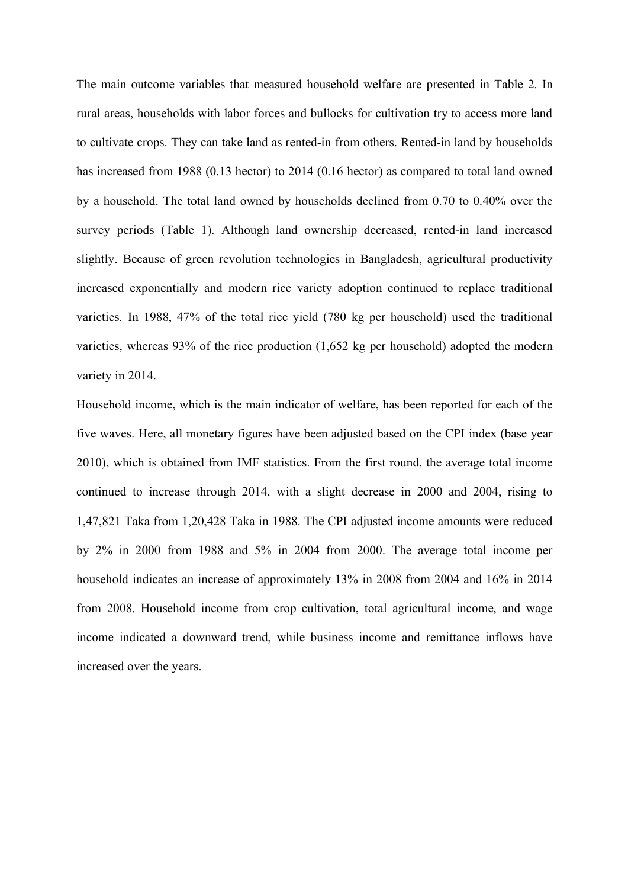The main outcome variables that measured household welfare are presented in Table 2. In rural areas, households with labor forces and bullocks for cultivation try to access more land to cultivate crops. They can take land as rented-in from others. Rented-in land by households has increased from 1988 (0.13 hector) to 2014 (0.16 hector) as compared to total land owned by a household. The total land owned by households declined from 0.70 to 0.40% over the survey periods (Table 1). Although land ownership decreased, rented-in land increased slightly. Because of green revolution technologies in Bangladesh, agricultural productivity increased exponentially and modern rice variety adoption continued to replace traditional varieties. In 1988, 47% of the total rice yield (780 kg per household) used the traditional varieties, whereas 93% of the rice production (1,652 kg per household) adopted the modern variety in 2014.

Household income, which is the main indicator of welfare, has been reported for each of the five waves. Here, all monetary figures have been adjusted based on the CPI index (base year 2010), which is obtained from IMF statistics. From the first round, the average total income continued to increase through 2014, with a slight decrease in 2000 and 2004, rising to 1,47,821 Taka from 1,20,428 Taka in 1988. The CPI adjusted income amounts were reduced by 2% in 2000 from 1988 and 5% in 2004 from 2000. The average total income per household indicates an increase of approximately 13% in 2008 from 2004 and 16% in 2014 from 2008. Household income from crop cultivation, total agricultural income, and wage income indicated a downward trend, while business income and remittance inflows have increased over the years.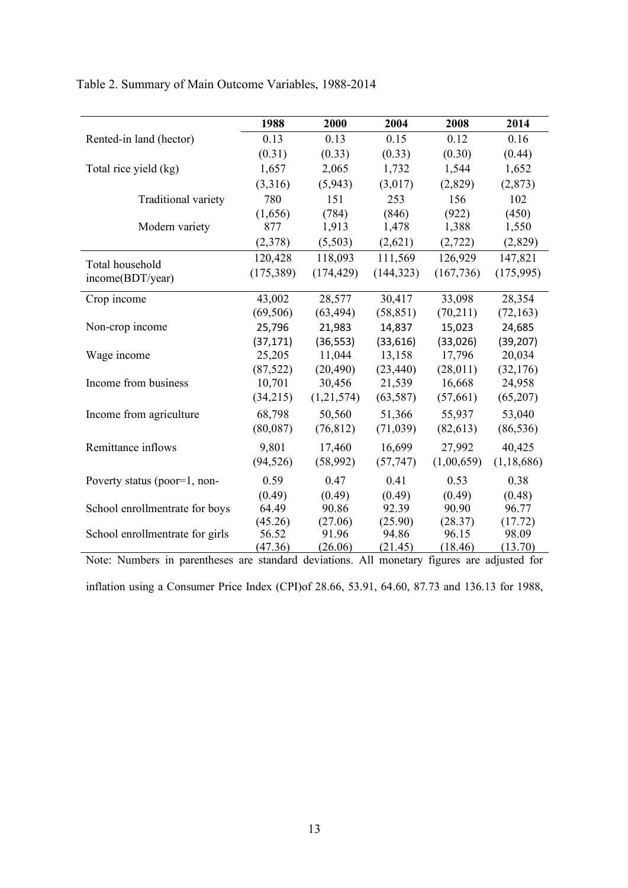|  | Table 2. Summary of Main Outcome Variables, 1988-2014 |  |  |  |  |
|--|-------------------------------------------------------|--|--|--|--|
|--|-------------------------------------------------------|--|--|--|--|

|                                 | 1988       | 2000       | 2004       | 2008       | 2014         |
|---------------------------------|------------|------------|------------|------------|--------------|
| Rented-in land (hector)         | 0.13       | 0.13       | 0.15       | 0.12       | 0.16         |
|                                 | (0.31)     | (0.33)     | (0.33)     | (0.30)     | (0.44)       |
| Total rice yield (kg)           | 1,657      | 2,065      | 1,732      | 1,544      | 1,652        |
|                                 | (3,316)    | (5,943)    | (3,017)    | (2,829)    | (2, 873)     |
| Traditional variety             | 780        | 151        | 253        | 156        | 102          |
|                                 | (1,656)    | (784)      | (846)      | (922)      | (450)        |
| Modern variety                  | 877        | 1,913      | 1,478      | 1,388      | 1,550        |
|                                 | (2,378)    | (5,503)    | (2,621)    | (2,722)    | (2,829)      |
| Total household                 | 120,428    | 118,093    | 111,569    | 126,929    | 147,821      |
| income(BDT/year)                | (175, 389) | (174, 429) | (144, 323) | (167, 736) | (175,995)    |
|                                 |            |            |            |            |              |
| Crop income                     | 43,002     | 28,577     | 30,417     | 33,098     | 28,354       |
|                                 | (69, 506)  | (63, 494)  | (58, 851)  | (70,211)   | (72, 163)    |
| Non-crop income                 | 25,796     | 21,983     | 14,837     | 15,023     | 24,685       |
|                                 | (37, 171)  | (36, 553)  | (33, 616)  | (33,026)   | (39, 207)    |
| Wage income                     | 25,205     | 11,044     | 13,158     | 17,796     | 20,034       |
|                                 | (87, 522)  | (20, 490)  | (23, 440)  | (28, 011)  | (32,176)     |
| Income from business            | 10,701     | 30,456     | 21,539     | 16,668     | 24,958       |
|                                 | (34,215)   | (1,21,574) | (63, 587)  | (57, 661)  | (65,207)     |
| Income from agriculture         | 68,798     | 50,560     | 51,366     | 55,937     | 53,040       |
|                                 | (80,087)   | (76, 812)  | (71,039)   | (82, 613)  | (86, 536)    |
| Remittance inflows              | 9,801      | 17,460     | 16,699     | 27,992     | 40,425       |
|                                 | (94, 526)  | (58,992)   | (57, 747)  | (1,00,659) | (1, 18, 686) |
| Poverty status (poor=1, non-    | 0.59       | 0.47       | 0.41       | 0.53       | 0.38         |
|                                 | (0.49)     | (0.49)     | (0.49)     | (0.49)     | (0.48)       |
| School enrollmentrate for boys  | 64.49      | 90.86      | 92.39      | 90.90      | 96.77        |
|                                 | (45.26)    | (27.06)    | (25.90)    | (28.37)    | (17.72)      |
| School enrollmentrate for girls | 56.52      | 91.96      | 94.86      | 96.15      | 98.09        |
|                                 | (47.36)    | (26.06)    | (21.45)    | (18.46)    | (13.70)      |

Note: Numl Note: Numbers in parentheses are standard deviations. All monetary figures are adjusted for inflation using a Consumer Price Index (CPI)of 28.66, 53.91, 64.60, 87.73 and 136.13 for 1988,

13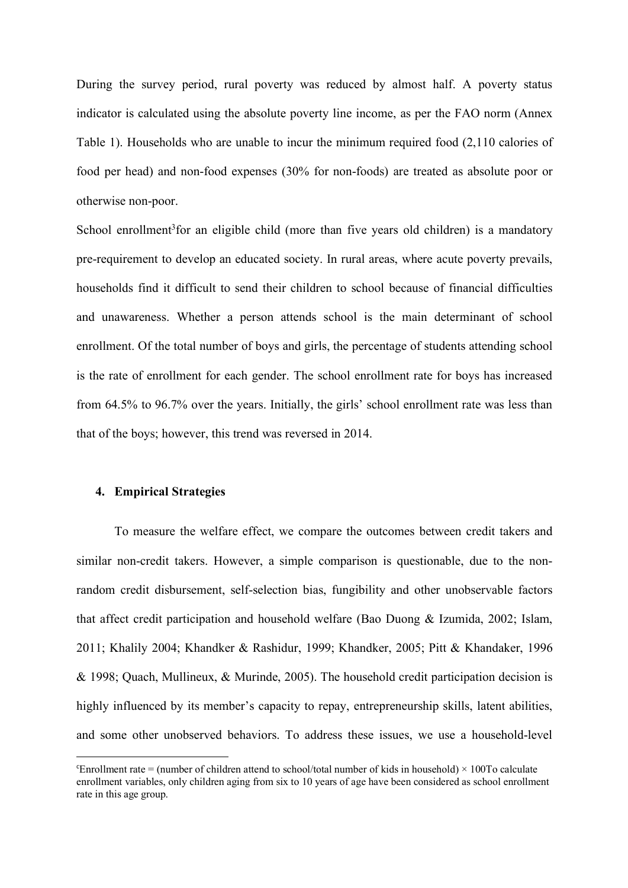During the survey period, rural poverty was reduced by almost half. A poverty status indicator is calculated using the absolute poverty line income, as per the FAO norm (Annex Table 1). Households who are unable to incur the minimum required food (2,110 calories of food per head) and non-food expenses (30% for non-foods) are treated as absolute poor or otherwise non-poor.

School enrollment<sup>3</sup> for an eligible child (more than five years old children) is a mandatory pre-requirement to develop an educated society. In rural areas, where acute poverty prevails, households find it difficult to send their children to school because of financial difficulties and unawareness. Whether a person attends school is the main determinant of school enrollment. Of the total number of boys and girls, the percentage of students attending school is the rate of enrollment for each gender. The school enrollment rate for boys has increased from 64.5% to 96.7% over the years. Initially, the girls' school enrollment rate was less than that of the boys; however, this trend was reversed in 2014.

#### **4. Empirical Strategies**

 $\overline{a}$ 

To measure the welfare effect, we compare the outcomes between credit takers and similar non-credit takers. However, a simple comparison is questionable, due to the nonrandom credit disbursement, self-selection bias, fungibility and other unobservable factors that affect credit participation and household welfare (Bao Duong & Izumida, 2002; Islam, 2011; Khalily 2004; Khandker & Rashidur, 1999; Khandker, 2005; Pitt & Khandaker, 1996 & 1998; Quach, Mullineux, & Murinde, 2005). The household credit participation decision is highly influenced by its member's capacity to repay, entrepreneurship skills, latent abilities, and some other unobserved behaviors. To address these issues, we use a household-level

Enrollment rate  $=$  (number of children attend to school/total number of kids in household)  $\times$  100To calculate enrollment variables, only children aging from six to 10 years of age have been considered as school enrollment rate in this age group.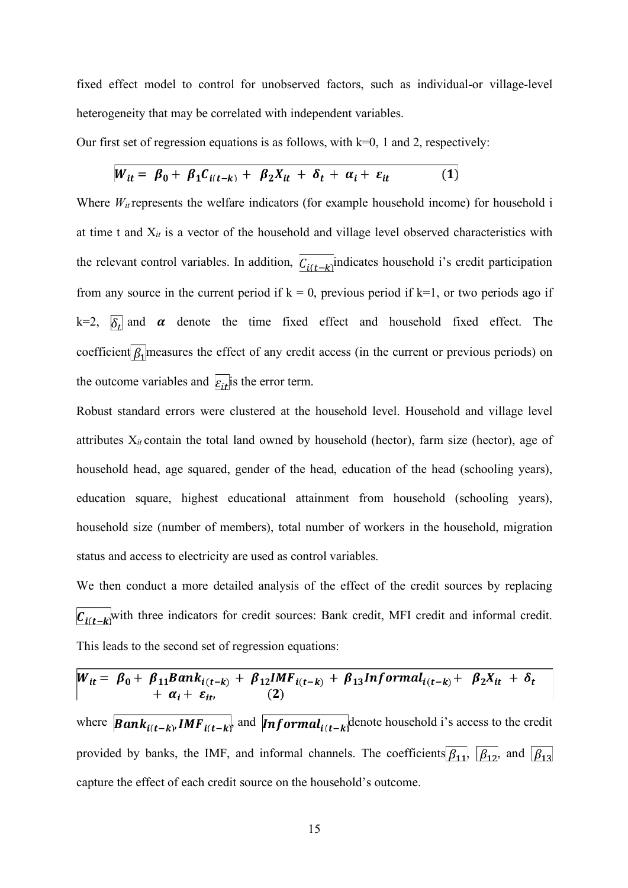fixed effect model to control for unobserved factors, such as individual-or village-level heterogeneity that may be correlated with independent variables.

Our first set of regression equations is as follows, with  $k=0$ , 1 and 2, respectively:

$$
W_{it} = \beta_0 + \beta_1 C_{i(t-k)} + \beta_2 X_{it} + \delta_t + \alpha_i + \varepsilon_{it}
$$
 (1)

Where  $W_{it}$  represents the welfare indicators (for example household income) for household i at time t and X*it* is a vector of the household and village level observed characteristics with the relevant control variables. In addition,  $\overline{C_{i(t-k)}}$  indicates household i's credit participation from any source in the current period if  $k = 0$ , previous period if  $k=1$ , or two periods ago if k=2,  $\delta_t$  and  $\alpha$  denote the time fixed effect and household fixed effect. The coefficient  $\beta_1$  measures the effect of any credit access (in the current or previous periods) on the outcome variables and  $\overline{\epsilon_{it}}$  is the error term.

Robust standard errors were clustered at the household level. Household and village level attributes  $X_{it}$  contain the total land owned by household (hector), farm size (hector), age of household head, age squared, gender of the head, education of the head (schooling years), education square, highest educational attainment from household (schooling years), household size (number of members), total number of workers in the household, migration status and access to electricity are used as control variables.

We then conduct a more detailed analysis of the effect of the credit sources by replacing  $\overline{C_{i(t-k)}}$  with three indicators for credit sources: Bank credit, MFI credit and informal credit. This leads to the second set of regression equations:

$$
W_{it} = \beta_0 + \beta_{11} Bank_{i(t-k)} + \beta_{12} IMF_{i(t-k)} + \beta_{13} In formal_{i(t-k)} + \beta_{2} X_{it} + \delta_t
$$
  
+  $\alpha_i + \varepsilon_{it}$ , (2)  
where  $Bank_{i(t-k)}$  *IMF*<sub>*i(t-k)*</sub> and  $Informal_{i(t-k)}$  denote household i's access to the credit  
provided by banks, the IMF, and informal channels. The coefficients  $\beta_{11}$ ,  $\beta_{12}$  and  $\beta_{13}$   
capture the effect of each credit source on the household's outcome.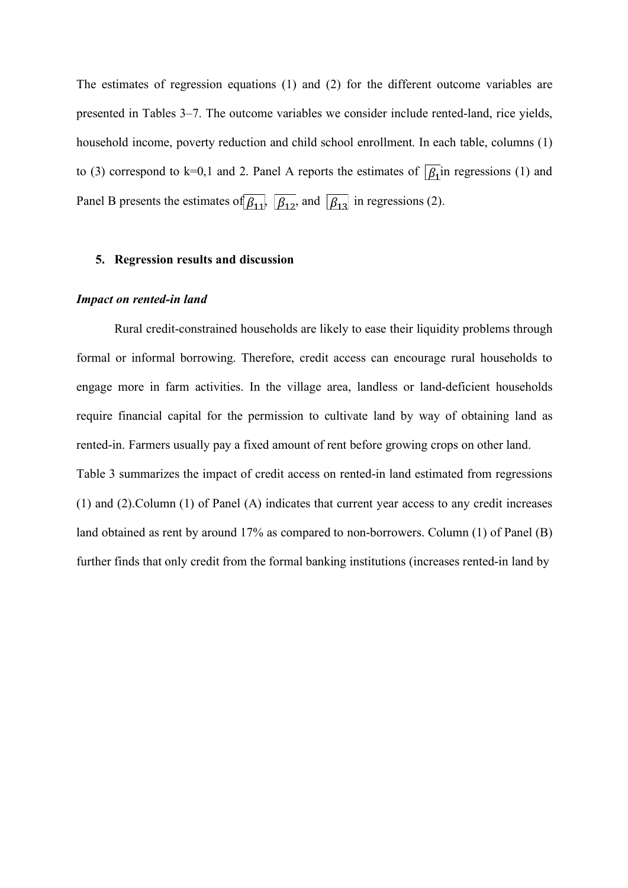The estimates of regression equations (1) and (2) for the different outcome variables are presented in Tables 3–7. The outcome variables we consider include rented-land, rice yields, household income, poverty reduction and child school enrollment. In each table, columns (1) to (3) correspond to k=0,1 and 2. Panel A reports the estimates of  $\sqrt{\beta_1}$  in regressions (1) and Panel B presents the estimates of  $\beta_{11}$ ,  $\beta_{12}$  and  $\beta_{13}$  in regressions (2).

#### **5. Regression results and discussion**

#### *Impact on rented-in land*

Rural credit-constrained households are likely to ease their liquidity problems through formal or informal borrowing. Therefore, credit access can encourage rural households to engage more in farm activities. In the village area, landless or land-deficient households require financial capital for the permission to cultivate land by way of obtaining land as rented-in. Farmers usually pay a fixed amount of rent before growing crops on other land. Table 3 summarizes the impact of credit access on rented-in land estimated from regressions (1) and (2).Column (1) of Panel (A) indicates that current year access to any credit increases land obtained as rent by around 17% as compared to non-borrowers. Column (1) of Panel (B) further finds that only credit from the formal banking institutions (increases rented-in land by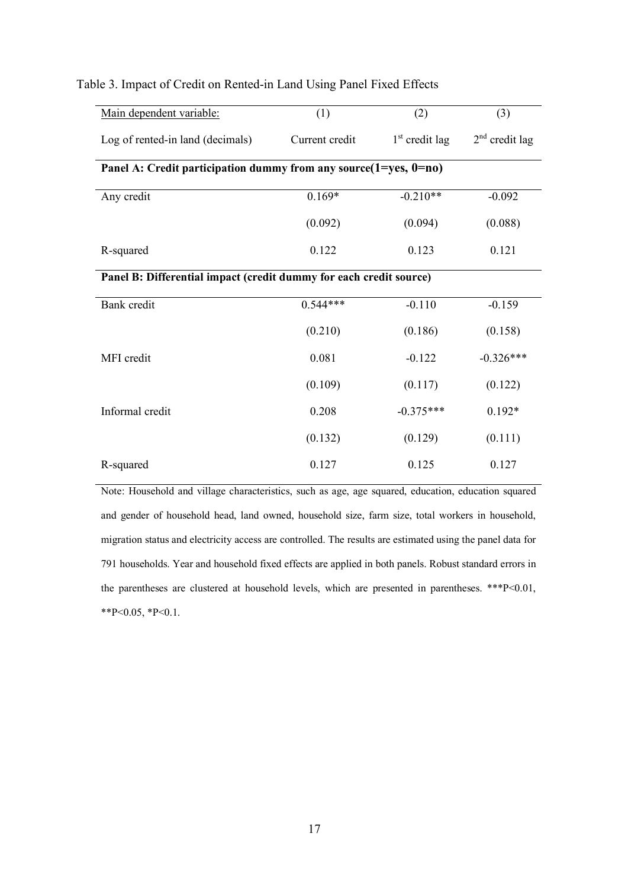| Main dependent variable:                                                | (1)            | (2)              | (3)              |  |  |  |
|-------------------------------------------------------------------------|----------------|------------------|------------------|--|--|--|
| Log of rented-in land (decimals)                                        | Current credit | $1st$ credit lag | $2nd$ credit lag |  |  |  |
| Panel A: Credit participation dummy from any source $(1 = yes, 0 = no)$ |                |                  |                  |  |  |  |
| Any credit                                                              | $0.169*$       | $-0.210**$       | $-0.092$         |  |  |  |
|                                                                         | (0.092)        | (0.094)          | (0.088)          |  |  |  |
| R-squared                                                               | 0.122          | 0.123            | 0.121            |  |  |  |
| Panel B: Differential impact (credit dummy for each credit source)      |                |                  |                  |  |  |  |
| Bank credit                                                             | $0.544***$     | $-0.110$         | $-0.159$         |  |  |  |
|                                                                         | (0.210)        | (0.186)          | (0.158)          |  |  |  |
| MFI credit                                                              | 0.081          | $-0.122$         | $-0.326***$      |  |  |  |
|                                                                         | (0.109)        | (0.117)          | (0.122)          |  |  |  |
| Informal credit                                                         | 0.208          | $-0.375***$      | $0.192*$         |  |  |  |
|                                                                         | (0.132)        | (0.129)          | (0.111)          |  |  |  |
| R-squared                                                               | 0.127          | 0.125            | 0.127            |  |  |  |

#### Table 3. Impact of Credit on Rented-in Land Using Panel Fixed Effects

Note: Household and village characteristics, such as age, age squared, education, education squared and gender of household head, land owned, household size, farm size, total workers in household, migration status and electricity access are controlled. The results are estimated using the panel data for 791 households. Year and household fixed effects are applied in both panels. Robust standard errors in the parentheses are clustered at household levels, which are presented in parentheses. \*\*\*P<0.01,  $*P<0.05$ ,  $*P<0.1$ .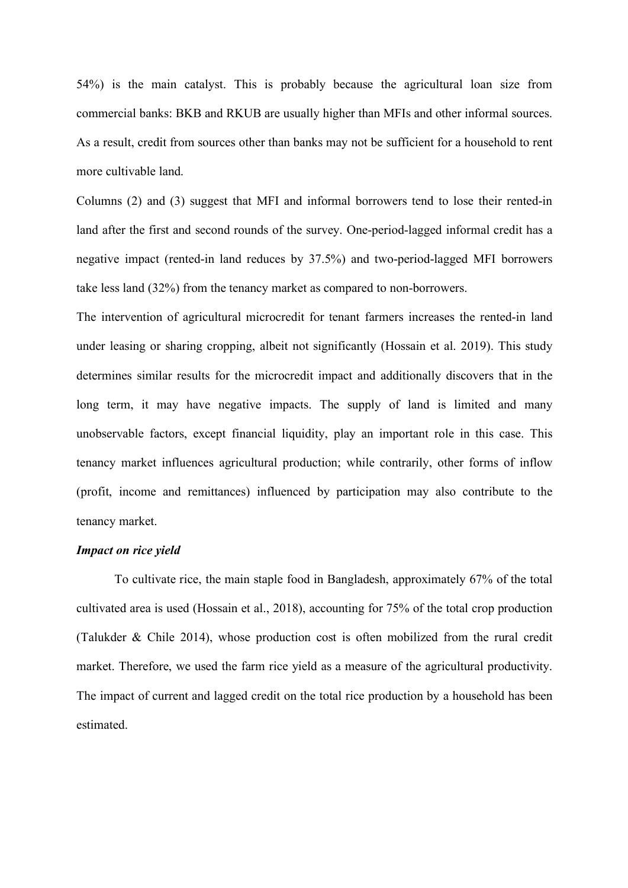54%) is the main catalyst. This is probably because the agricultural loan size from commercial banks: BKB and RKUB are usually higher than MFIs and other informal sources. As a result, credit from sources other than banks may not be sufficient for a household to rent more cultivable land.

Columns (2) and (3) suggest that MFI and informal borrowers tend to lose their rented-in land after the first and second rounds of the survey. One-period-lagged informal credit has a negative impact (rented-in land reduces by 37.5%) and two-period-lagged MFI borrowers take less land (32%) from the tenancy market as compared to non-borrowers.

The intervention of agricultural microcredit for tenant farmers increases the rented-in land under leasing or sharing cropping, albeit not significantly (Hossain et al. 2019). This study determines similar results for the microcredit impact and additionally discovers that in the long term, it may have negative impacts. The supply of land is limited and many unobservable factors, except financial liquidity, play an important role in this case. This tenancy market influences agricultural production; while contrarily, other forms of inflow (profit, income and remittances) influenced by participation may also contribute to the tenancy market.

### *Impact on rice yield*

To cultivate rice, the main staple food in Bangladesh, approximately 67% of the total cultivated area is used (Hossain et al., 2018), accounting for 75% of the total crop production (Talukder & Chile 2014), whose production cost is often mobilized from the rural credit market. Therefore, we used the farm rice yield as a measure of the agricultural productivity. The impact of current and lagged credit on the total rice production by a household has been estimated.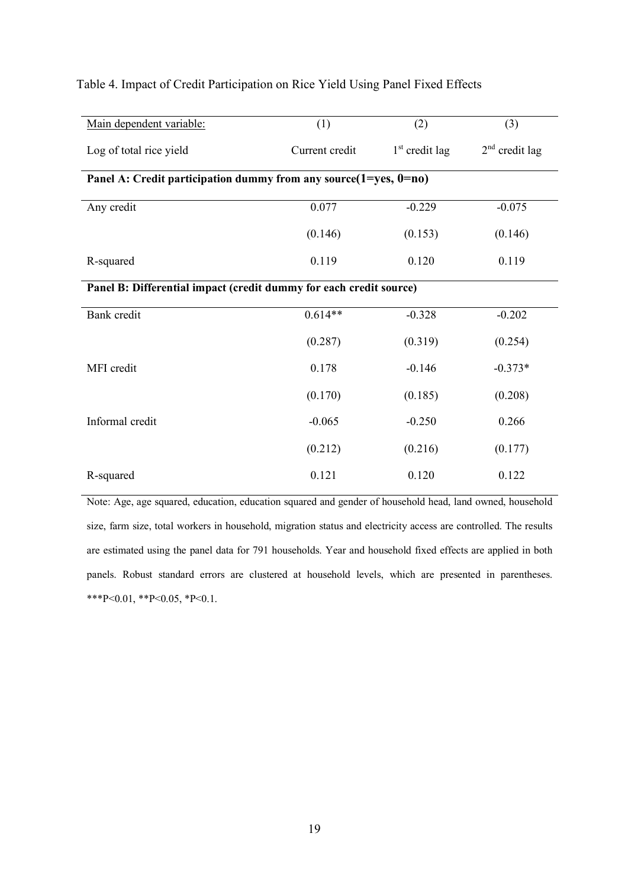| Main dependent variable:                                           | (1)                                                                     | (2)              | (3)              |  |  |  |  |  |
|--------------------------------------------------------------------|-------------------------------------------------------------------------|------------------|------------------|--|--|--|--|--|
| Log of total rice yield                                            | Current credit                                                          | $1st$ credit lag | $2nd$ credit lag |  |  |  |  |  |
|                                                                    | Panel A: Credit participation dummy from any source $(1 = yes, 0 = no)$ |                  |                  |  |  |  |  |  |
| Any credit                                                         | 0.077                                                                   | $-0.229$         | $-0.075$         |  |  |  |  |  |
|                                                                    | (0.146)                                                                 | (0.153)          | (0.146)          |  |  |  |  |  |
| R-squared                                                          | 0.119                                                                   | 0.120            | 0.119            |  |  |  |  |  |
| Panel B: Differential impact (credit dummy for each credit source) |                                                                         |                  |                  |  |  |  |  |  |
| Bank credit                                                        | $0.614**$                                                               | $-0.328$         | $-0.202$         |  |  |  |  |  |
|                                                                    | (0.287)                                                                 | (0.319)          | (0.254)          |  |  |  |  |  |
| MFI credit                                                         | 0.178                                                                   | $-0.146$         | $-0.373*$        |  |  |  |  |  |
|                                                                    | (0.170)                                                                 | (0.185)          | (0.208)          |  |  |  |  |  |
| Informal credit                                                    | $-0.065$                                                                | $-0.250$         | 0.266            |  |  |  |  |  |
|                                                                    | (0.212)                                                                 | (0.216)          | (0.177)          |  |  |  |  |  |
| R-squared                                                          | 0.121                                                                   | 0.120            | 0.122            |  |  |  |  |  |

#### Table 4. Impact of Credit Participation on Rice Yield Using Panel Fixed Effects

Note: Age, age squared, education, education squared and gender of household head, land owned, household size, farm size, total workers in household, migration status and electricity access are controlled. The results are estimated using the panel data for 791 households. Year and household fixed effects are applied in both panels. Robust standard errors are clustered at household levels, which are presented in parentheses. \*\*\*P<0.01, \*\*P<0.05, \*P<0.1.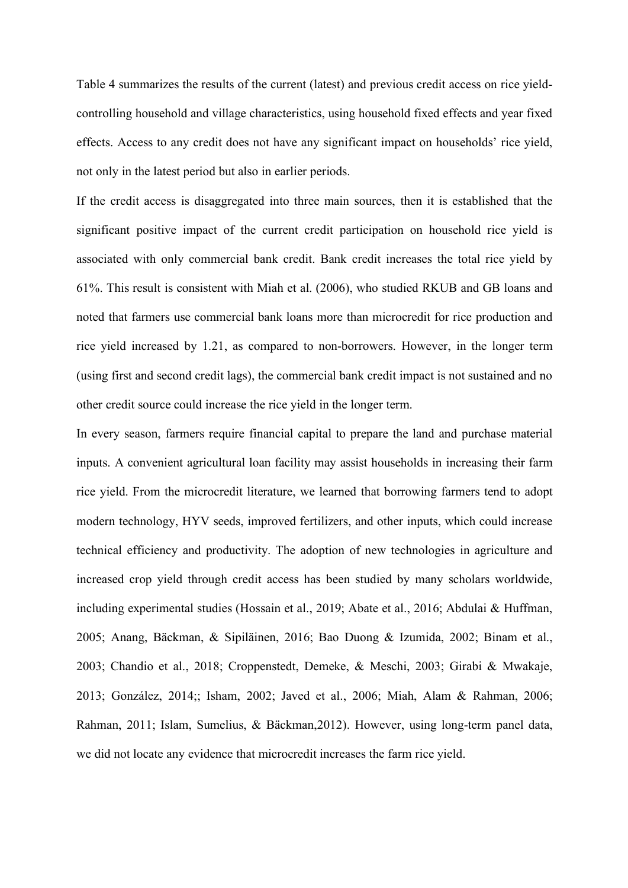Table 4 summarizes the results of the current (latest) and previous credit access on rice yieldcontrolling household and village characteristics, using household fixed effects and year fixed effects. Access to any credit does not have any significant impact on households' rice yield, not only in the latest period but also in earlier periods.

If the credit access is disaggregated into three main sources, then it is established that the significant positive impact of the current credit participation on household rice yield is associated with only commercial bank credit. Bank credit increases the total rice yield by 61%. This result is consistent with Miah et al. (2006), who studied RKUB and GB loans and noted that farmers use commercial bank loans more than microcredit for rice production and rice yield increased by 1.21, as compared to non-borrowers. However, in the longer term (using first and second credit lags), the commercial bank credit impact is not sustained and no other credit source could increase the rice yield in the longer term.

In every season, farmers require financial capital to prepare the land and purchase material inputs. A convenient agricultural loan facility may assist households in increasing their farm rice yield. From the microcredit literature, we learned that borrowing farmers tend to adopt modern technology, HYV seeds, improved fertilizers, and other inputs, which could increase technical efficiency and productivity. The adoption of new technologies in agriculture and increased crop yield through credit access has been studied by many scholars worldwide, including experimental studies (Hossain et al., 2019; Abate et al., 2016; Abdulai & Huffman, 2005; Anang, Bäckman, & Sipiläinen, 2016; Bao Duong & Izumida, 2002; Binam et al., 2003; Chandio et al., 2018; Croppenstedt, Demeke, & Meschi, 2003; Girabi & Mwakaje, 2013; González, 2014;; Isham, 2002; Javed et al., 2006; Miah, Alam & Rahman, 2006; Rahman, 2011; Islam, Sumelius, & Bäckman,2012). However, using long-term panel data, we did not locate any evidence that microcredit increases the farm rice yield.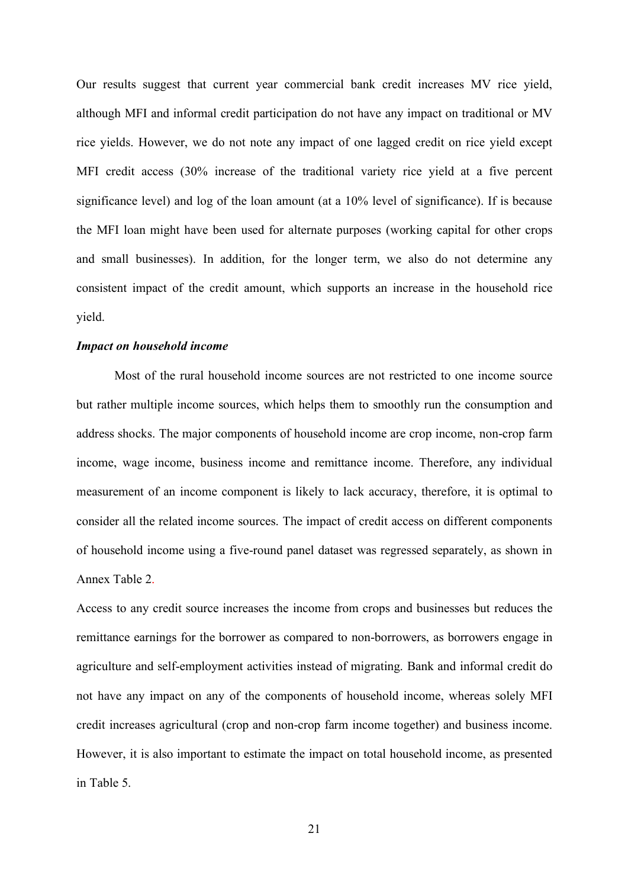Our results suggest that current year commercial bank credit increases MV rice yield, although MFI and informal credit participation do not have any impact on traditional or MV rice yields. However, we do not note any impact of one lagged credit on rice yield except MFI credit access (30% increase of the traditional variety rice yield at a five percent significance level) and log of the loan amount (at a 10% level of significance). If is because the MFI loan might have been used for alternate purposes (working capital for other crops and small businesses). In addition, for the longer term, we also do not determine any consistent impact of the credit amount, which supports an increase in the household rice yield.

#### *Impact on household income*

Most of the rural household income sources are not restricted to one income source but rather multiple income sources, which helps them to smoothly run the consumption and address shocks. The major components of household income are crop income, non-crop farm income, wage income, business income and remittance income. Therefore, any individual measurement of an income component is likely to lack accuracy, therefore, it is optimal to consider all the related income sources. The impact of credit access on different components of household income using a five-round panel dataset was regressed separately, as shown in Annex Table 2.

Access to any credit source increases the income from crops and businesses but reduces the remittance earnings for the borrower as compared to non-borrowers, as borrowers engage in agriculture and self-employment activities instead of migrating. Bank and informal credit do not have any impact on any of the components of household income, whereas solely MFI credit increases agricultural (crop and non-crop farm income together) and business income. However, it is also important to estimate the impact on total household income, as presented in Table 5.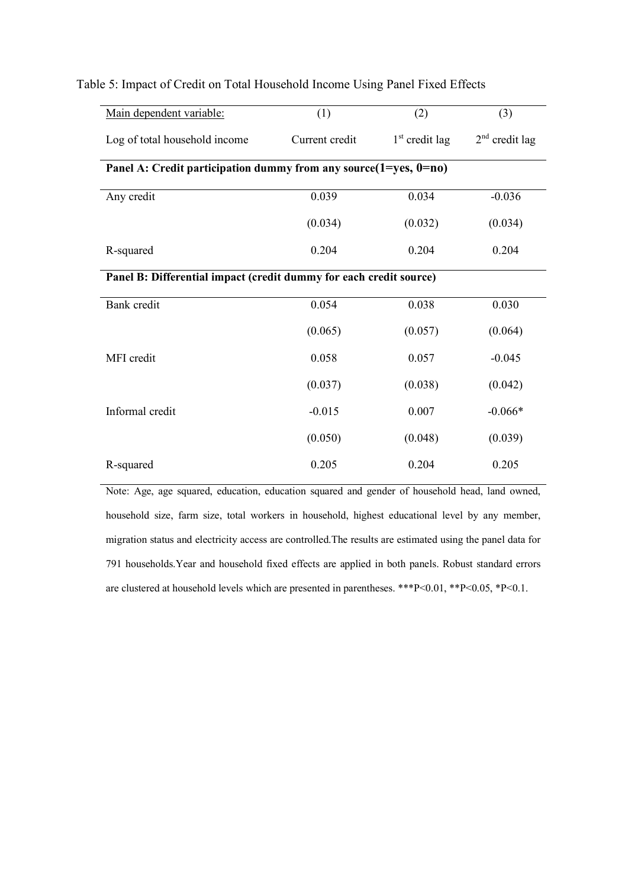| Main dependent variable:                                           | (1)            | (2)              | (3)              |  |  |  |  |
|--------------------------------------------------------------------|----------------|------------------|------------------|--|--|--|--|
| Log of total household income                                      | Current credit | $1st$ credit lag | $2nd$ credit lag |  |  |  |  |
| Panel A: Credit participation dummy from any source(1=yes, 0=no)   |                |                  |                  |  |  |  |  |
| Any credit                                                         | 0.039          | 0.034            | $-0.036$         |  |  |  |  |
|                                                                    | (0.034)        | (0.032)          | (0.034)          |  |  |  |  |
| R-squared                                                          | 0.204          | 0.204            | 0.204            |  |  |  |  |
| Panel B: Differential impact (credit dummy for each credit source) |                |                  |                  |  |  |  |  |
| Bank credit                                                        | 0.054          | 0.038            | 0.030            |  |  |  |  |
|                                                                    | (0.065)        | (0.057)          | (0.064)          |  |  |  |  |
| MFI credit                                                         | 0.058          | 0.057            | $-0.045$         |  |  |  |  |
|                                                                    | (0.037)        | (0.038)          | (0.042)          |  |  |  |  |
| Informal credit                                                    | $-0.015$       | 0.007            | $-0.066*$        |  |  |  |  |
|                                                                    | (0.050)        | (0.048)          | (0.039)          |  |  |  |  |
| R-squared                                                          | 0.205          | 0.204            | 0.205            |  |  |  |  |

#### Table 5: Impact of Credit on Total Household Income Using Panel Fixed Effects

Note: Age, age squared, education, education squared and gender of household head, land owned, household size, farm size, total workers in household, highest educational level by any member, migration status and electricity access are controlled.The results are estimated using the panel data for 791 households.Year and household fixed effects are applied in both panels. Robust standard errors are clustered at household levels which are presented in parentheses. \*\*\*P<0.01, \*\*P<0.05, \*P<0.1.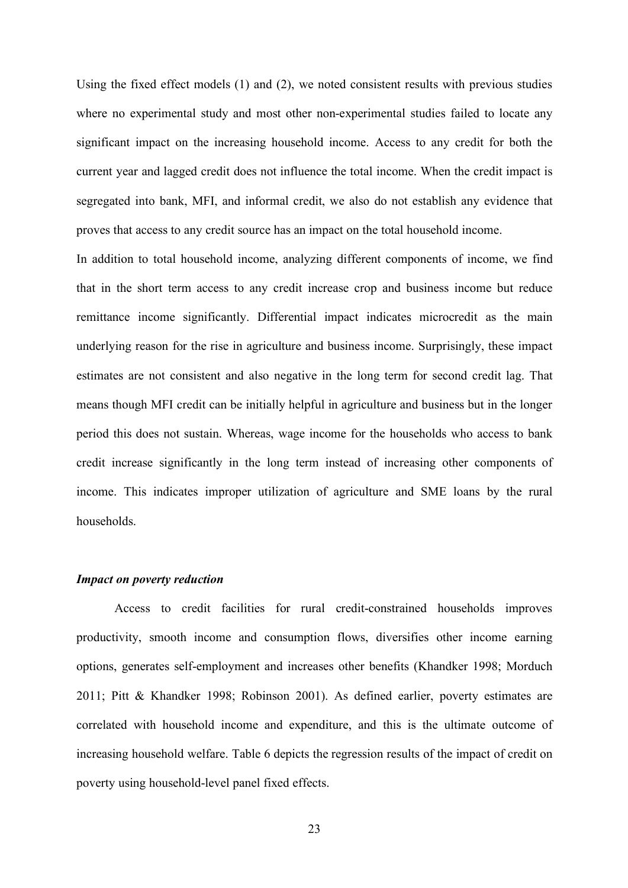Using the fixed effect models (1) and (2), we noted consistent results with previous studies where no experimental study and most other non-experimental studies failed to locate any significant impact on the increasing household income. Access to any credit for both the current year and lagged credit does not influence the total income. When the credit impact is segregated into bank, MFI, and informal credit, we also do not establish any evidence that proves that access to any credit source has an impact on the total household income.

In addition to total household income, analyzing different components of income, we find that in the short term access to any credit increase crop and business income but reduce remittance income significantly. Differential impact indicates microcredit as the main underlying reason for the rise in agriculture and business income. Surprisingly, these impact estimates are not consistent and also negative in the long term for second credit lag. That means though MFI credit can be initially helpful in agriculture and business but in the longer period this does not sustain. Whereas, wage income for the households who access to bank credit increase significantly in the long term instead of increasing other components of income. This indicates improper utilization of agriculture and SME loans by the rural households.

#### *Impact on poverty reduction*

Access to credit facilities for rural credit-constrained households improves productivity, smooth income and consumption flows, diversifies other income earning options, generates self-employment and increases other benefits (Khandker 1998; Morduch 2011; Pitt & Khandker 1998; Robinson 2001). As defined earlier, poverty estimates are correlated with household income and expenditure, and this is the ultimate outcome of increasing household welfare. Table 6 depicts the regression results of the impact of credit on poverty using household-level panel fixed effects.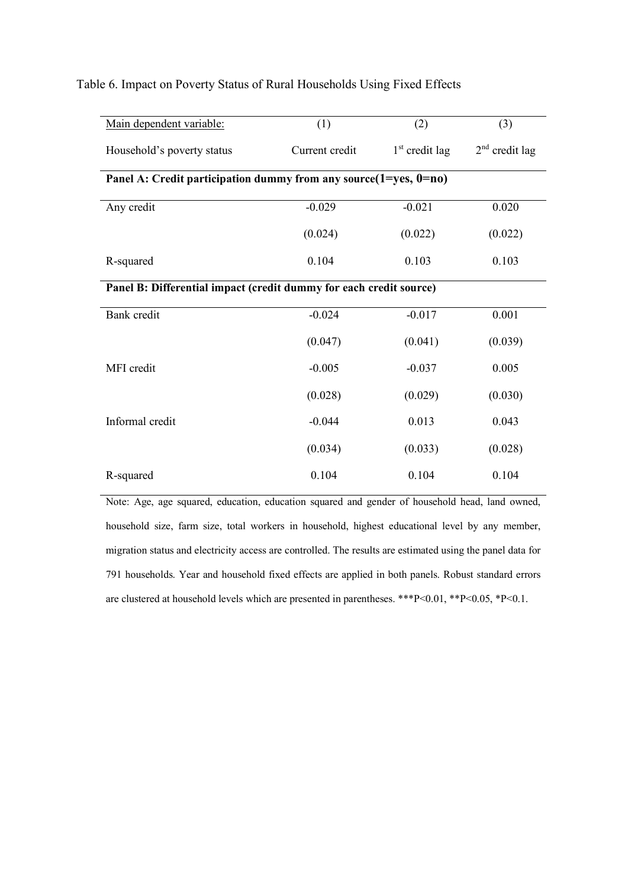| Main dependent variable:                                           | (1)                                                                     | (2)              | (3)              |  |  |  |  |  |
|--------------------------------------------------------------------|-------------------------------------------------------------------------|------------------|------------------|--|--|--|--|--|
| Household's poverty status                                         | Current credit                                                          | $1st$ credit lag | $2nd$ credit lag |  |  |  |  |  |
|                                                                    | Panel A: Credit participation dummy from any source $(1 = yes, 0 = no)$ |                  |                  |  |  |  |  |  |
| Any credit                                                         | $-0.029$                                                                | $-0.021$         | 0.020            |  |  |  |  |  |
|                                                                    | (0.024)                                                                 | (0.022)          | (0.022)          |  |  |  |  |  |
| R-squared                                                          | 0.104                                                                   | 0.103            | 0.103            |  |  |  |  |  |
| Panel B: Differential impact (credit dummy for each credit source) |                                                                         |                  |                  |  |  |  |  |  |
| Bank credit                                                        | $-0.024$                                                                | $-0.017$         | 0.001            |  |  |  |  |  |
|                                                                    | (0.047)                                                                 | (0.041)          | (0.039)          |  |  |  |  |  |
| MFI credit                                                         | $-0.005$                                                                | $-0.037$         | 0.005            |  |  |  |  |  |
|                                                                    | (0.028)                                                                 | (0.029)          | (0.030)          |  |  |  |  |  |
| Informal credit                                                    | $-0.044$                                                                | 0.013            | 0.043            |  |  |  |  |  |
|                                                                    | (0.034)                                                                 | (0.033)          | (0.028)          |  |  |  |  |  |
| R-squared                                                          | 0.104                                                                   | 0.104            | 0.104            |  |  |  |  |  |

#### Table 6. Impact on Poverty Status of Rural Households Using Fixed Effects

Note: Age, age squared, education, education squared and gender of household head, land owned, household size, farm size, total workers in household, highest educational level by any member, migration status and electricity access are controlled. The results are estimated using the panel data for 791 households. Year and household fixed effects are applied in both panels. Robust standard errors are clustered at household levels which are presented in parentheses. \*\*\*P<0.01, \*\*P<0.05, \*P<0.1.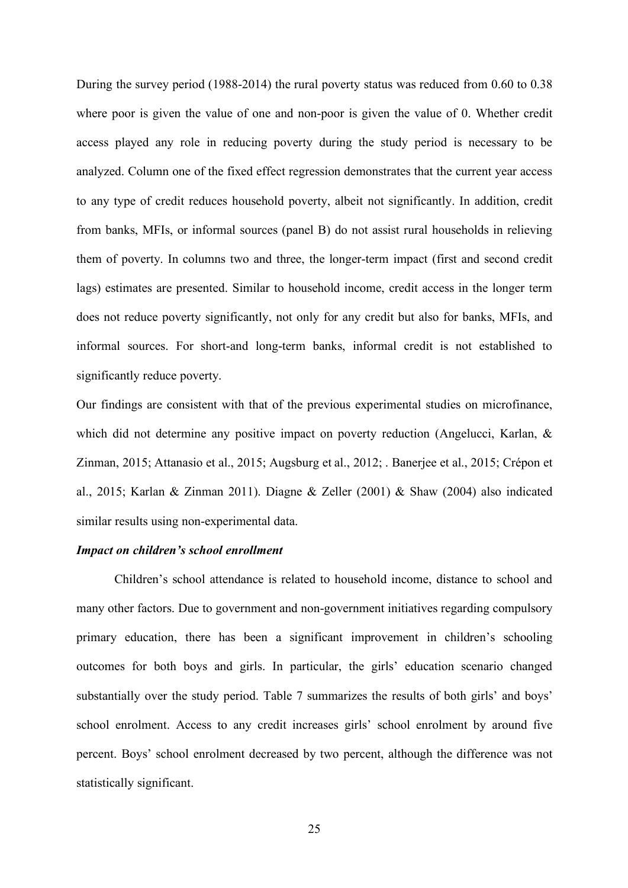During the survey period (1988-2014) the rural poverty status was reduced from 0.60 to 0.38 where poor is given the value of one and non-poor is given the value of 0. Whether credit access played any role in reducing poverty during the study period is necessary to be analyzed. Column one of the fixed effect regression demonstrates that the current year access to any type of credit reduces household poverty, albeit not significantly. In addition, credit from banks, MFIs, or informal sources (panel B) do not assist rural households in relieving them of poverty. In columns two and three, the longer-term impact (first and second credit lags) estimates are presented. Similar to household income, credit access in the longer term does not reduce poverty significantly, not only for any credit but also for banks, MFIs, and informal sources. For short-and long-term banks, informal credit is not established to significantly reduce poverty.

Our findings are consistent with that of the previous experimental studies on microfinance, which did not determine any positive impact on poverty reduction (Angelucci, Karlan, & Zinman, 2015; Attanasio et al., 2015; Augsburg et al., 2012; . Banerjee et al., 2015; Crépon et al., 2015; Karlan & Zinman 2011). Diagne & Zeller (2001) & Shaw (2004) also indicated similar results using non-experimental data.

#### *Impact on children's school enrollment*

Children's school attendance is related to household income, distance to school and many other factors. Due to government and non-government initiatives regarding compulsory primary education, there has been a significant improvement in children's schooling outcomes for both boys and girls. In particular, the girls' education scenario changed substantially over the study period. Table 7 summarizes the results of both girls' and boys' school enrolment. Access to any credit increases girls' school enrolment by around five percent. Boys' school enrolment decreased by two percent, although the difference was not statistically significant.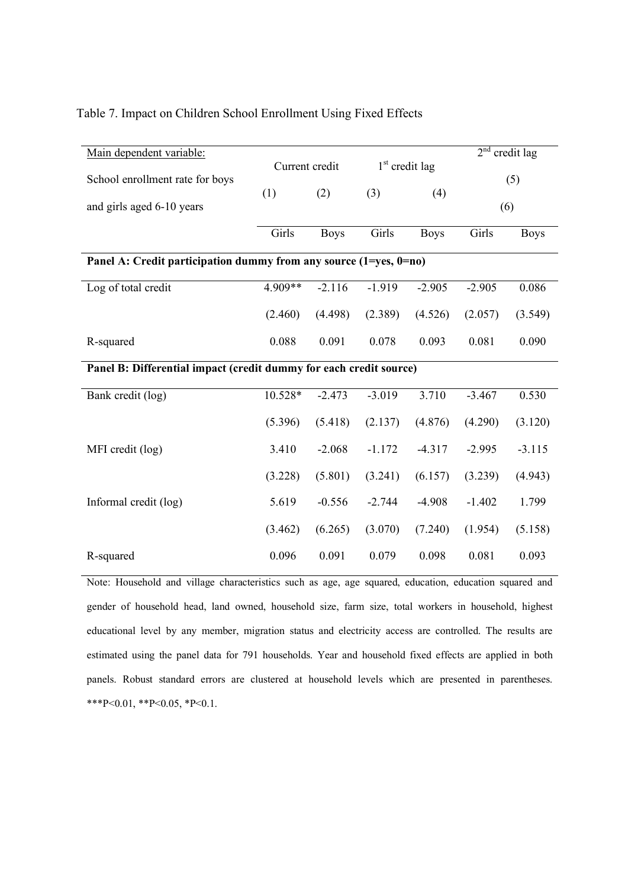#### Table 7. Impact on Children School Enrollment Using Fixed Effects

| Main dependent variable:                                          |                                                                    |             |                  |             | $2^{nd}$ | credit lag  |  |  |
|-------------------------------------------------------------------|--------------------------------------------------------------------|-------------|------------------|-------------|----------|-------------|--|--|
| School enrollment rate for boys                                   | Current credit                                                     |             | $1st$ credit lag |             |          | (5)         |  |  |
| and girls aged 6-10 years                                         | (1)                                                                | (2)         | (3)              | (4)         |          | (6)         |  |  |
|                                                                   | Girls                                                              | <b>Boys</b> | Girls            | <b>Boys</b> | Girls    | <b>Boys</b> |  |  |
| Panel A: Credit participation dummy from any source (1=yes, 0=no) |                                                                    |             |                  |             |          |             |  |  |
| Log of total credit                                               | 4.909**                                                            | $-2.116$    | $-1.919$         | $-2.905$    | $-2.905$ | 0.086       |  |  |
|                                                                   | (2.460)                                                            | (4.498)     | (2.389)          | (4.526)     | (2.057)  | (3.549)     |  |  |
| R-squared                                                         | 0.088                                                              | 0.091       | 0.078            | 0.093       | 0.081    | 0.090       |  |  |
|                                                                   | Panel B: Differential impact (credit dummy for each credit source) |             |                  |             |          |             |  |  |
| Bank credit (log)                                                 | 10.528*                                                            | $-2.473$    | $-3.019$         | 3.710       | $-3.467$ | 0.530       |  |  |
|                                                                   | (5.396)                                                            | (5.418)     | (2.137)          | (4.876)     | (4.290)  | (3.120)     |  |  |
| MFI credit (log)                                                  | 3.410                                                              | $-2.068$    | $-1.172$         | $-4.317$    | $-2.995$ | $-3.115$    |  |  |
|                                                                   | (3.228)                                                            | (5.801)     | (3.241)          | (6.157)     | (3.239)  | (4.943)     |  |  |
| Informal credit (log)                                             | 5.619                                                              | $-0.556$    | $-2.744$         | $-4.908$    | $-1.402$ | 1.799       |  |  |
|                                                                   | (3.462)                                                            | (6.265)     | (3.070)          | (7.240)     | (1.954)  | (5.158)     |  |  |
| R-squared                                                         | 0.096                                                              | 0.091       | 0.079            | 0.098       | 0.081    | 0.093       |  |  |

Note: Household and village characteristics such as age, age squared, education, education squared and gender of household head, land owned, household size, farm size, total workers in household, highest educational level by any member, migration status and electricity access are controlled. The results are estimated using the panel data for 791 households. Year and household fixed effects are applied in both panels. Robust standard errors are clustered at household levels which are presented in parentheses. \*\*\*P<0.01, \*\*P<0.05, \*P<0.1.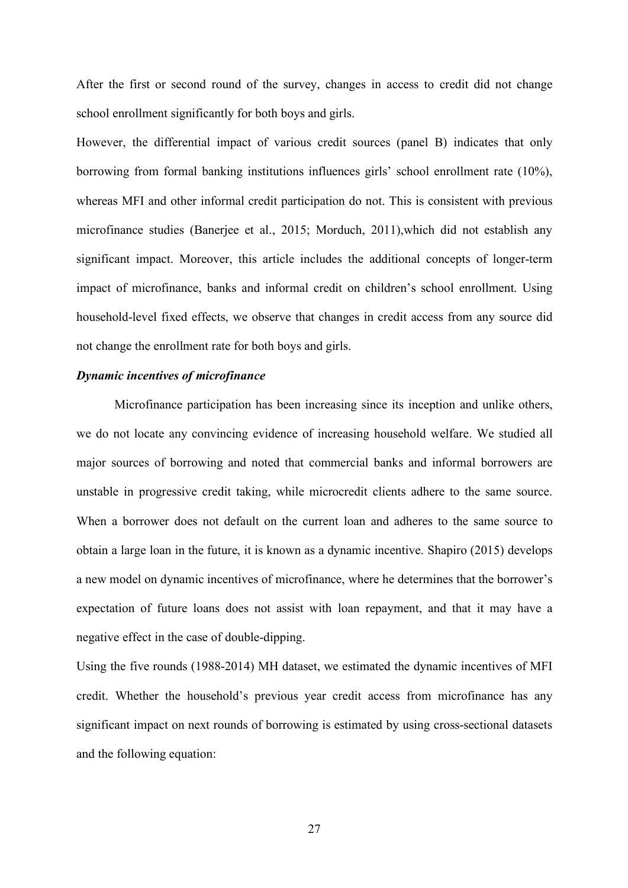After the first or second round of the survey, changes in access to credit did not change school enrollment significantly for both boys and girls.

However, the differential impact of various credit sources (panel B) indicates that only borrowing from formal banking institutions influences girls' school enrollment rate (10%), whereas MFI and other informal credit participation do not. This is consistent with previous microfinance studies (Banerjee et al., 2015; Morduch, 2011),which did not establish any significant impact. Moreover, this article includes the additional concepts of longer-term impact of microfinance, banks and informal credit on children's school enrollment. Using household-level fixed effects, we observe that changes in credit access from any source did not change the enrollment rate for both boys and girls.

#### *Dynamic incentives of microfinance*

Microfinance participation has been increasing since its inception and unlike others, we do not locate any convincing evidence of increasing household welfare. We studied all major sources of borrowing and noted that commercial banks and informal borrowers are unstable in progressive credit taking, while microcredit clients adhere to the same source. When a borrower does not default on the current loan and adheres to the same source to obtain a large loan in the future, it is known as a dynamic incentive. Shapiro (2015) develops a new model on dynamic incentives of microfinance, where he determines that the borrower's expectation of future loans does not assist with loan repayment, and that it may have a negative effect in the case of double-dipping.

Using the five rounds (1988-2014) MH dataset, we estimated the dynamic incentives of MFI credit. Whether the household's previous year credit access from microfinance has any significant impact on next rounds of borrowing is estimated by using cross-sectional datasets and the following equation:

27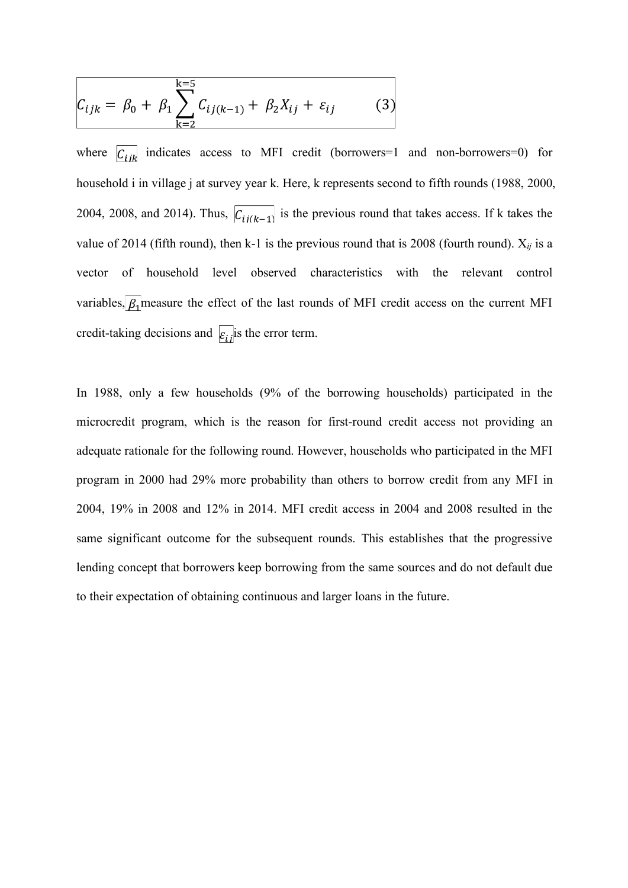$$
C_{ijk} = \beta_0 + \beta_1 \sum_{k=2}^{k=5} C_{ij(k-1)} + \beta_2 X_{ij} + \varepsilon_{ij}
$$
 (3)

where  $\overline{C_{ijk}}$  indicates access to MFI credit (borrowers=1 and non-borrowers=0) for household i in village j at survey year k. Here, k represents second to fifth rounds (1988, 2000, 2004, 2008, and 2014). Thus,  $\overline{C_{ij(k-1)}}$  is the previous round that takes access. If k takes the value of 2014 (fifth round), then k-1 is the previous round that is 2008 (fourth round).  $X_{ij}$  is a vector of household level observed characteristics with the relevant control variables,  $\beta_1$  measure the effect of the last rounds of MFI credit access on the current MFI credit-taking decisions and  $\epsilon_{ij}$  is the error term.

In 1988, only a few households (9% of the borrowing households) participated in the microcredit program, which is the reason for first-round credit access not providing an adequate rationale for the following round. However, households who participated in the MFI program in 2000 had 29% more probability than others to borrow credit from any MFI in 2004, 19% in 2008 and 12% in 2014. MFI credit access in 2004 and 2008 resulted in the same significant outcome for the subsequent rounds. This establishes that the progressive lending concept that borrowers keep borrowing from the same sources and do not default due to their expectation of obtaining continuous and larger loans in the future.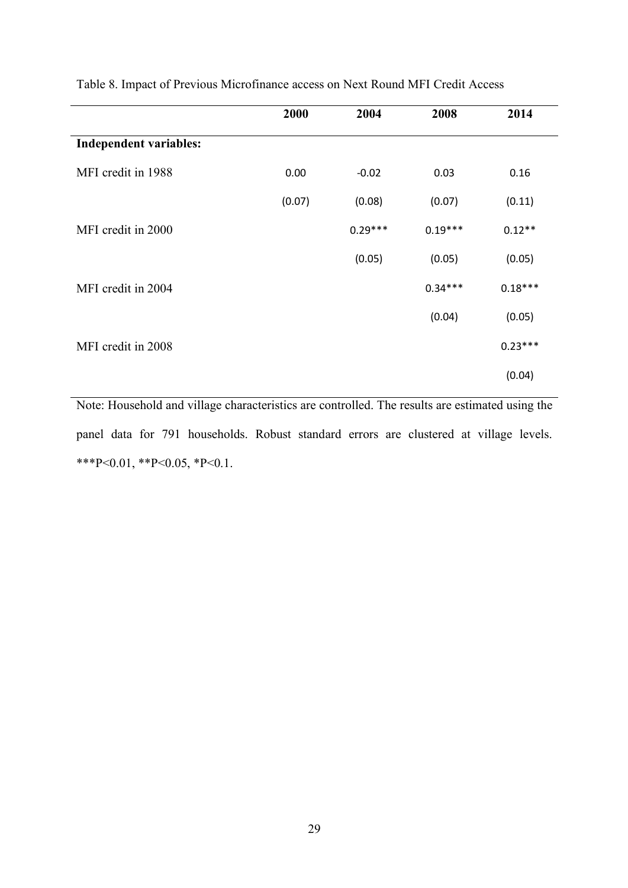|                               | 2000   | 2004      | 2008      | 2014      |
|-------------------------------|--------|-----------|-----------|-----------|
| <b>Independent variables:</b> |        |           |           |           |
| MFI credit in 1988            | 0.00   | $-0.02$   | 0.03      | 0.16      |
|                               | (0.07) | (0.08)    | (0.07)    | (0.11)    |
| MFI credit in 2000            |        | $0.29***$ | $0.19***$ | $0.12**$  |
|                               |        | (0.05)    | (0.05)    | (0.05)    |
| MFI credit in 2004            |        |           | $0.34***$ | $0.18***$ |
|                               |        |           | (0.04)    | (0.05)    |
| MFI credit in 2008            |        |           |           | $0.23***$ |
|                               |        |           |           | (0.04)    |
|                               |        |           |           |           |

Table 8. Impact of Previous Microfinance access on Next Round MFI Credit Access

Note: Household and village characteristics are controlled. The results are estimated using the panel data for 791 households. Robust standard errors are clustered at village levels. \*\*\*P<0.01, \*\*P<0.05, \*P<0.1.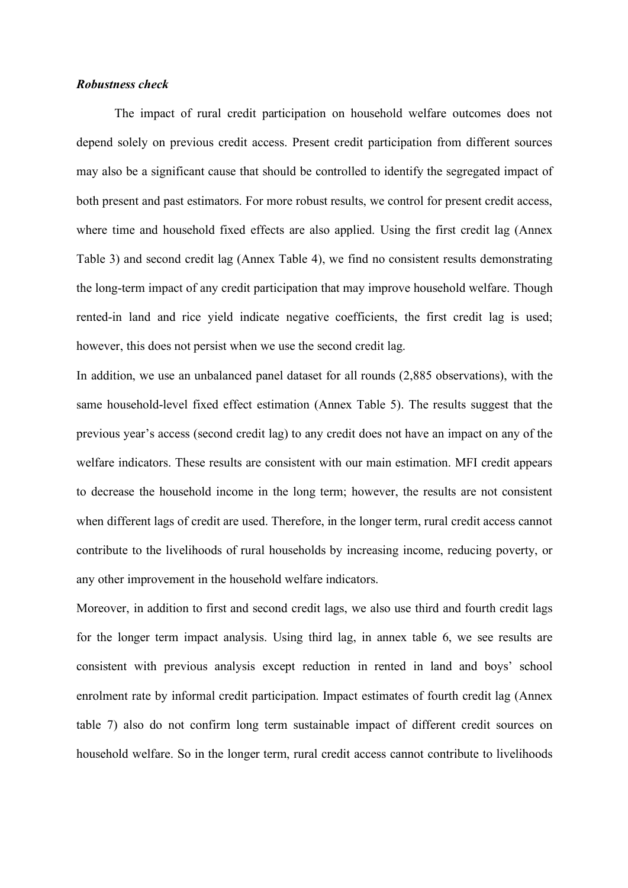#### *Robustness check*

The impact of rural credit participation on household welfare outcomes does not depend solely on previous credit access. Present credit participation from different sources may also be a significant cause that should be controlled to identify the segregated impact of both present and past estimators. For more robust results, we control for present credit access, where time and household fixed effects are also applied. Using the first credit lag (Annex Table 3) and second credit lag (Annex Table 4), we find no consistent results demonstrating the long-term impact of any credit participation that may improve household welfare. Though rented-in land and rice yield indicate negative coefficients, the first credit lag is used; however, this does not persist when we use the second credit lag.

In addition, we use an unbalanced panel dataset for all rounds (2,885 observations), with the same household-level fixed effect estimation (Annex Table 5). The results suggest that the previous year's access (second credit lag) to any credit does not have an impact on any of the welfare indicators. These results are consistent with our main estimation. MFI credit appears to decrease the household income in the long term; however, the results are not consistent when different lags of credit are used. Therefore, in the longer term, rural credit access cannot contribute to the livelihoods of rural households by increasing income, reducing poverty, or any other improvement in the household welfare indicators.

Moreover, in addition to first and second credit lags, we also use third and fourth credit lags for the longer term impact analysis. Using third lag, in annex table 6, we see results are consistent with previous analysis except reduction in rented in land and boys' school enrolment rate by informal credit participation. Impact estimates of fourth credit lag (Annex table 7) also do not confirm long term sustainable impact of different credit sources on household welfare. So in the longer term, rural credit access cannot contribute to livelihoods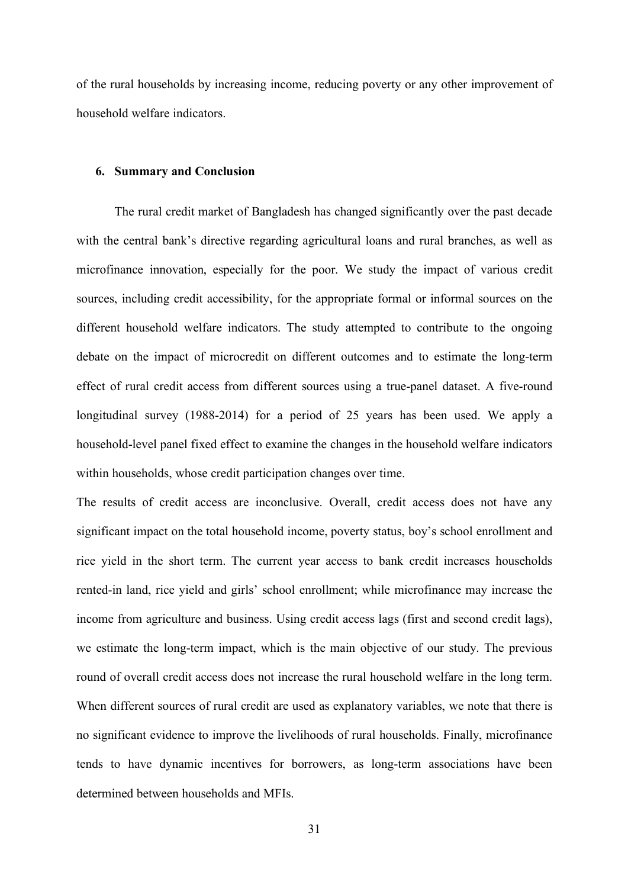of the rural households by increasing income, reducing poverty or any other improvement of household welfare indicators.

#### **6. Summary and Conclusion**

The rural credit market of Bangladesh has changed significantly over the past decade with the central bank's directive regarding agricultural loans and rural branches, as well as microfinance innovation, especially for the poor. We study the impact of various credit sources, including credit accessibility, for the appropriate formal or informal sources on the different household welfare indicators. The study attempted to contribute to the ongoing debate on the impact of microcredit on different outcomes and to estimate the long-term effect of rural credit access from different sources using a true-panel dataset. A five-round longitudinal survey (1988-2014) for a period of 25 years has been used. We apply a household-level panel fixed effect to examine the changes in the household welfare indicators within households, whose credit participation changes over time.

The results of credit access are inconclusive. Overall, credit access does not have any significant impact on the total household income, poverty status, boy's school enrollment and rice yield in the short term. The current year access to bank credit increases households rented-in land, rice yield and girls' school enrollment; while microfinance may increase the income from agriculture and business. Using credit access lags (first and second credit lags), we estimate the long-term impact, which is the main objective of our study. The previous round of overall credit access does not increase the rural household welfare in the long term. When different sources of rural credit are used as explanatory variables, we note that there is no significant evidence to improve the livelihoods of rural households. Finally, microfinance tends to have dynamic incentives for borrowers, as long-term associations have been determined between households and MFIs.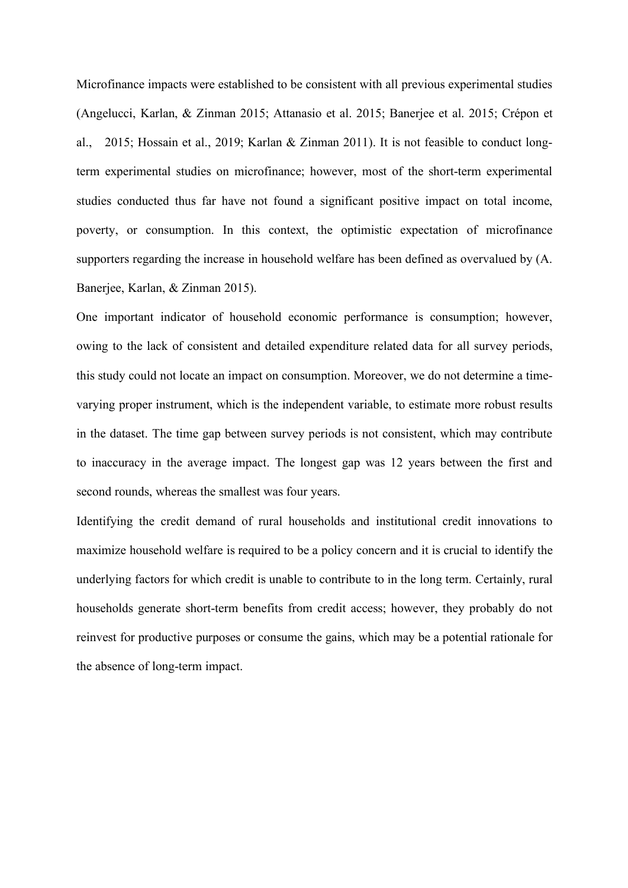Microfinance impacts were established to be consistent with all previous experimental studies (Angelucci, Karlan, & Zinman 2015; Attanasio et al. 2015; Banerjee et al. 2015; Crépon et al., 2015; Hossain et al., 2019; Karlan & Zinman 2011). It is not feasible to conduct longterm experimental studies on microfinance; however, most of the short-term experimental studies conducted thus far have not found a significant positive impact on total income, poverty, or consumption. In this context, the optimistic expectation of microfinance supporters regarding the increase in household welfare has been defined as overvalued by (A. Banerjee, Karlan, & Zinman 2015).

One important indicator of household economic performance is consumption; however, owing to the lack of consistent and detailed expenditure related data for all survey periods, this study could not locate an impact on consumption. Moreover, we do not determine a timevarying proper instrument, which is the independent variable, to estimate more robust results in the dataset. The time gap between survey periods is not consistent, which may contribute to inaccuracy in the average impact. The longest gap was 12 years between the first and second rounds, whereas the smallest was four years.

Identifying the credit demand of rural households and institutional credit innovations to maximize household welfare is required to be a policy concern and it is crucial to identify the underlying factors for which credit is unable to contribute to in the long term. Certainly, rural households generate short-term benefits from credit access; however, they probably do not reinvest for productive purposes or consume the gains, which may be a potential rationale for the absence of long-term impact.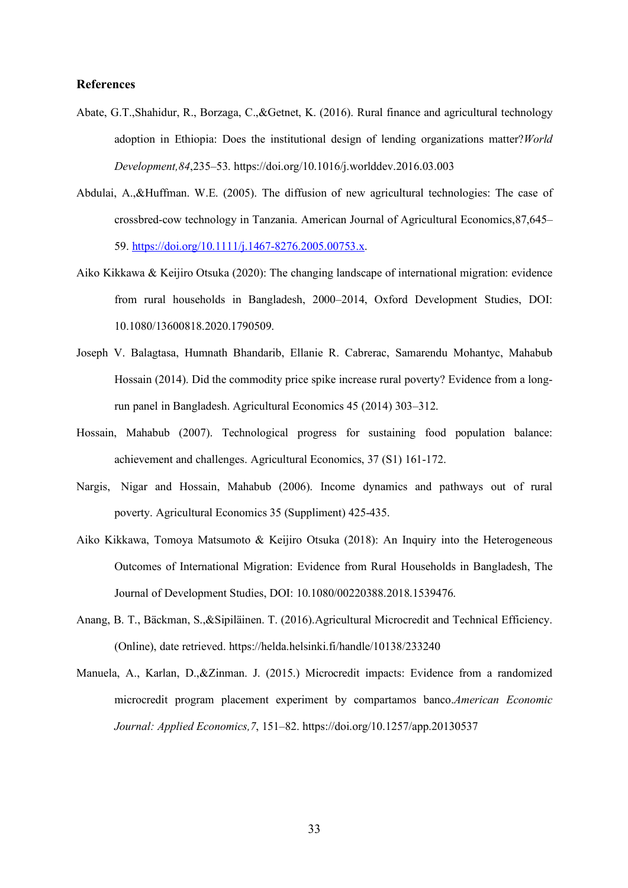#### **References**

- Abate, G.T.,Shahidur, R., Borzaga, C.,&Getnet, K. (2016). Rural finance and agricultural technology adoption in Ethiopia: Does the institutional design of lending organizations matter?*World Development,84*,235–53. https://doi.org/10.1016/j.worlddev.2016.03.003
- Abdulai, A.,&Huffman. W.E. (2005). The diffusion of new agricultural technologies: The case of crossbred-cow technology in Tanzania. American Journal of Agricultural Economics,87,645– 59. https://doi.org/10.1111/j.1467-8276.2005.00753.x.
- Aiko Kikkawa & Keijiro Otsuka (2020): The changing landscape of international migration: evidence from rural households in Bangladesh, 2000–2014, Oxford Development Studies, DOI: 10.1080/13600818.2020.1790509.
- Joseph V. Balagtasa, Humnath Bhandarib, Ellanie R. Cabrerac, Samarendu Mohantyc, Mahabub Hossain (2014). Did the commodity price spike increase rural poverty? Evidence from a longrun panel in Bangladesh. Agricultural Economics 45 (2014) 303–312.
- Hossain, Mahabub (2007). Technological progress for sustaining food population balance: achievement and challenges. Agricultural Economics, 37 (S1) 161-172.
- Nargis, Nigar and Hossain, Mahabub (2006). Income dynamics and pathways out of rural poverty. Agricultural Economics 35 (Suppliment) 425-435.
- Aiko Kikkawa, Tomoya Matsumoto & Keijiro Otsuka (2018): An Inquiry into the Heterogeneous Outcomes of International Migration: Evidence from Rural Households in Bangladesh, The Journal of Development Studies, DOI: 10.1080/00220388.2018.1539476.
- Anang, B. T., Bäckman, S.,&Sipiläinen. T. (2016).Agricultural Microcredit and Technical Efficiency. (Online), date retrieved. https://helda.helsinki.fi/handle/10138/233240
- Manuela, A., Karlan, D.,&Zinman. J. (2015.) Microcredit impacts: Evidence from a randomized microcredit program placement experiment by compartamos banco.*American Economic Journal: Applied Economics,7*, 151–82. https://doi.org/10.1257/app.20130537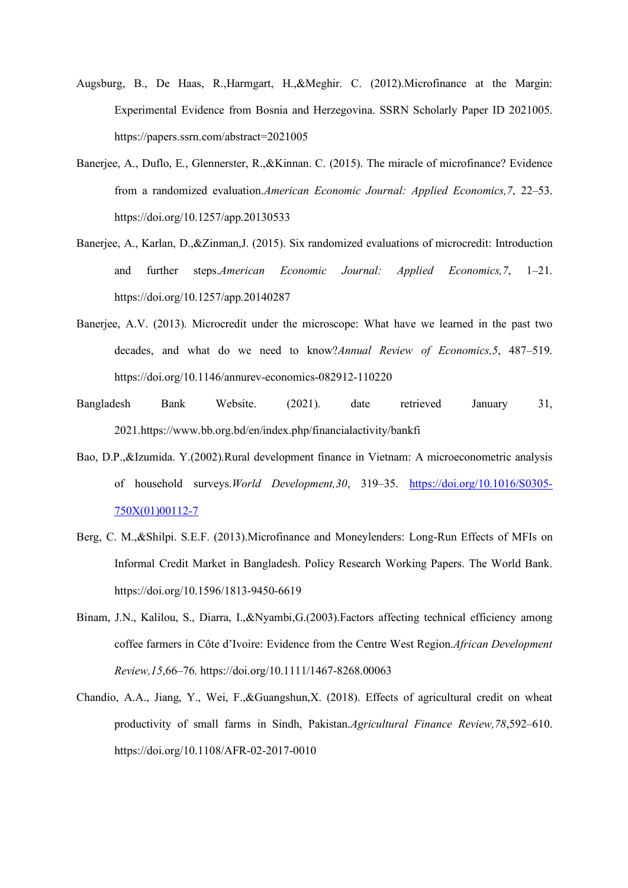- Augsburg, B., De Haas, R.,Harmgart, H.,&Meghir. C. (2012).Microfinance at the Margin: Experimental Evidence from Bosnia and Herzegovina. SSRN Scholarly Paper ID 2021005. https://papers.ssrn.com/abstract=2021005
- Banerjee, A., Duflo, E., Glennerster, R.,&Kinnan. C. (2015). The miracle of microfinance? Evidence from a randomized evaluation.*American Economic Journal: Applied Economics,7*, 22–53. https://doi.org/10.1257/app.20130533
- Banerjee, A., Karlan, D.,&Zinman,J. (2015). Six randomized evaluations of microcredit: Introduction and further steps.*American Economic Journal: Applied Economics,7*, 1–21. https://doi.org/10.1257/app.20140287
- Banerjee, A.V. (2013). Microcredit under the microscope: What have we learned in the past two decades, and what do we need to know?*Annual Review of Economics,5*, 487–519. https://doi.org/10.1146/annurev-economics-082912-110220
- Bangladesh Bank Website. (2021). date retrieved January 31, 2021.https://www.bb.org.bd/en/index.php/financialactivity/bankfi
- Bao, D.P.,&Izumida. Y.(2002).Rural development finance in Vietnam: A microeconometric analysis of household surveys.*World Development,30*, 319–35. https://doi.org/10.1016/S0305- 750X(01)00112-7
- Berg, C. M.,&Shilpi. S.E.F. (2013).Microfinance and Moneylenders: Long-Run Effects of MFIs on Informal Credit Market in Bangladesh. Policy Research Working Papers. The World Bank. https://doi.org/10.1596/1813-9450-6619
- Binam, J.N., Kalilou, S., Diarra, I.,&Nyambi,G.(2003).Factors affecting technical efficiency among coffee farmers in Côte d'Ivoire: Evidence from the Centre West Region.*African Development Review,15*,66–76. https://doi.org/10.1111/1467-8268.00063
- Chandio, A.A., Jiang, Y., Wei, F.,&Guangshun,X. (2018). Effects of agricultural credit on wheat productivity of small farms in Sindh, Pakistan.*Agricultural Finance Review,78*,592–610. https://doi.org/10.1108/AFR-02-2017-0010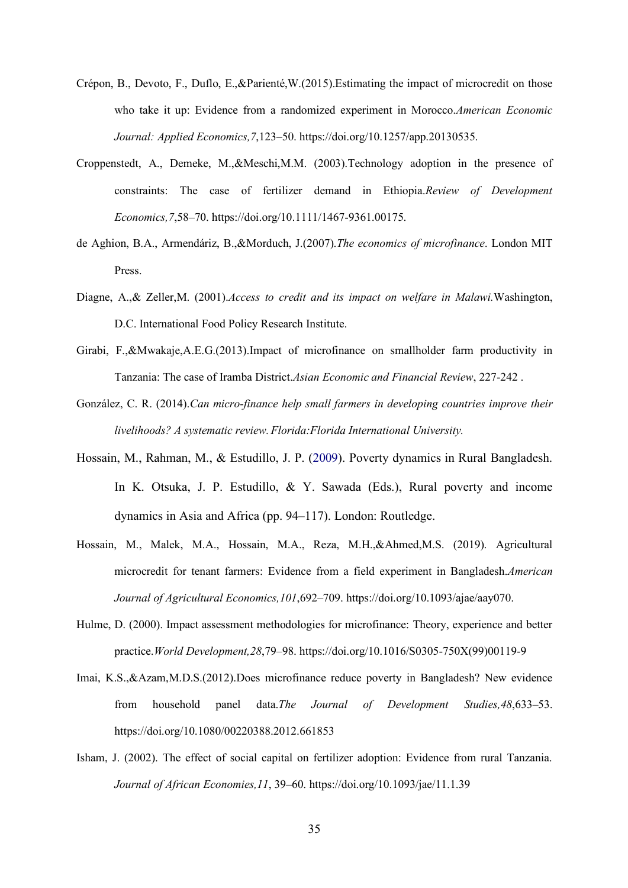- Crépon, B., Devoto, F., Duflo, E.,&Parienté,W.(2015).Estimating the impact of microcredit on those who take it up: Evidence from a randomized experiment in Morocco.*American Economic Journal: Applied Economics,7*,123–50. https://doi.org/10.1257/app.20130535.
- Croppenstedt, A., Demeke, M.,&Meschi,M.M. (2003).Technology adoption in the presence of constraints: The case of fertilizer demand in Ethiopia.*Review of Development Economics,7*,58–70. https://doi.org/10.1111/1467-9361.00175.
- de Aghion, B.A., Armendáriz, B.,&Morduch, J.(2007).*The economics of microfinance*. London MIT Press.
- Diagne, A.,& Zeller,M. (2001).*Access to credit and its impact on welfare in Malawi.*Washington, D.C. International Food Policy Research Institute.
- Girabi, F.,&Mwakaje,A.E.G.(2013).Impact of microfinance on smallholder farm productivity in Tanzania: The case of Iramba District.*Asian Economic and Financial Review*, 227-242 .
- González, C. R. (2014).*Can micro-finance help small farmers in developing countries improve their livelihoods? A systematic review.Florida:Florida International University.*
- Hossain, M., Rahman, M., & Estudillo, J. P. (2009). Poverty dynamics in Rural Bangladesh. In K. Otsuka, J. P. Estudillo, & Y. Sawada (Eds.), Rural poverty and income dynamics in Asia and Africa (pp. 94–117). London: Routledge.
- Hossain, M., Malek, M.A., Hossain, M.A., Reza, M.H.,&Ahmed,M.S. (2019). Agricultural microcredit for tenant farmers: Evidence from a field experiment in Bangladesh.*American Journal of Agricultural Economics,101*,692–709. https://doi.org/10.1093/ajae/aay070.
- Hulme, D. (2000). Impact assessment methodologies for microfinance: Theory, experience and better practice.*World Development,28*,79–98. https://doi.org/10.1016/S0305-750X(99)00119-9
- Imai, K.S.,&Azam,M.D.S.(2012).Does microfinance reduce poverty in Bangladesh? New evidence from household panel data.*The Journal of Development Studies,48*,633–53. https://doi.org/10.1080/00220388.2012.661853
- Isham, J. (2002). The effect of social capital on fertilizer adoption: Evidence from rural Tanzania. *Journal of African Economies,11*, 39–60. https://doi.org/10.1093/jae/11.1.39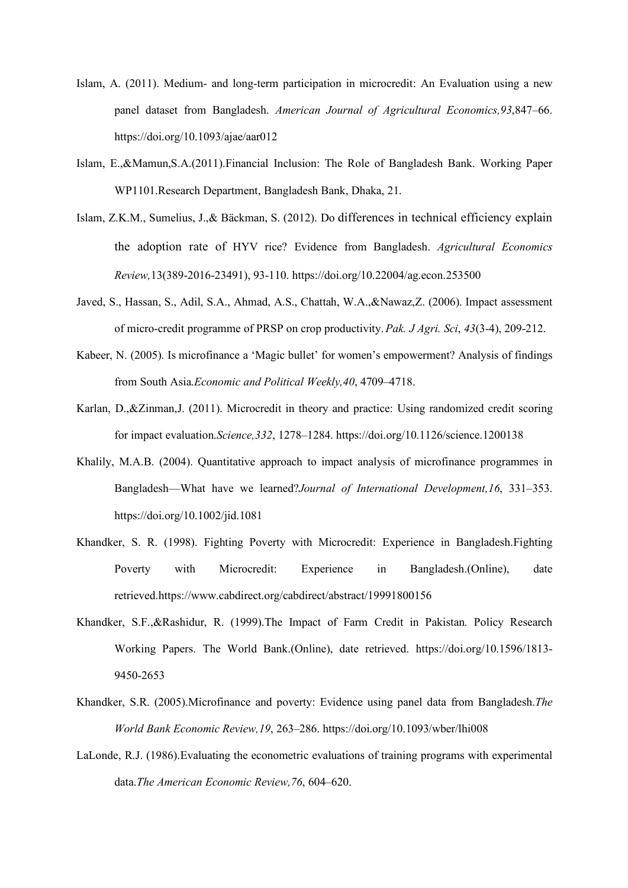- Islam, A. (2011). Medium- and long-term participation in microcredit: An Evaluation using a new panel dataset from Bangladesh. *American Journal of Agricultural Economics,93*,847–66. https://doi.org/10.1093/ajae/aar012
- Islam, E.,&Mamun,S.A.(2011).Financial Inclusion: The Role of Bangladesh Bank. Working Paper WP1101.Research Department, Bangladesh Bank, Dhaka, 21.
- Islam, Z.K.M., Sumelius, J.,& Bäckman, S. (2012). Do differences in technical efficiency explain the adoption rate of HYV rice? Evidence from Bangladesh. *Agricultural Economics Review,*13(389-2016-23491), 93-110. https://doi.org/10.22004/ag.econ.253500
- Javed, S., Hassan, S., Adil, S.A., Ahmad, A.S., Chattah, W.A.,&Nawaz,Z. (2006). Impact assessment of micro-credit programme of PRSP on crop productivity.*Pak. J Agri. Sci*, *43*(3-4), 209-212.
- Kabeer, N. (2005). Is microfinance a 'Magic bullet' for women's empowerment? Analysis of findings from South Asia.*Economic and Political Weekly,40*, 4709–4718.
- Karlan, D.,&Zinman,J. (2011). Microcredit in theory and practice: Using randomized credit scoring for impact evaluation.*Science,332*, 1278–1284. https://doi.org/10.1126/science.1200138
- Khalily, M.A.B. (2004). Quantitative approach to impact analysis of microfinance programmes in Bangladesh—What have we learned?*Journal of International Development,16*, 331–353. https://doi.org/10.1002/jid.1081
- Khandker, S. R. (1998). Fighting Poverty with Microcredit: Experience in Bangladesh.Fighting Poverty with Microcredit: Experience in Bangladesh.(Online), date retrieved.https://www.cabdirect.org/cabdirect/abstract/19991800156
- Khandker, S.F.,&Rashidur, R. (1999).The Impact of Farm Credit in Pakistan. Policy Research Working Papers. The World Bank.(Online), date retrieved. https://doi.org/10.1596/1813- 9450-2653
- Khandker, S.R. (2005).Microfinance and poverty: Evidence using panel data from Bangladesh.*The World Bank Economic Review,19*, 263–286. https://doi.org/10.1093/wber/lhi008
- LaLonde, R.J. (1986).Evaluating the econometric evaluations of training programs with experimental data.*The American Economic Review,76*, 604–620.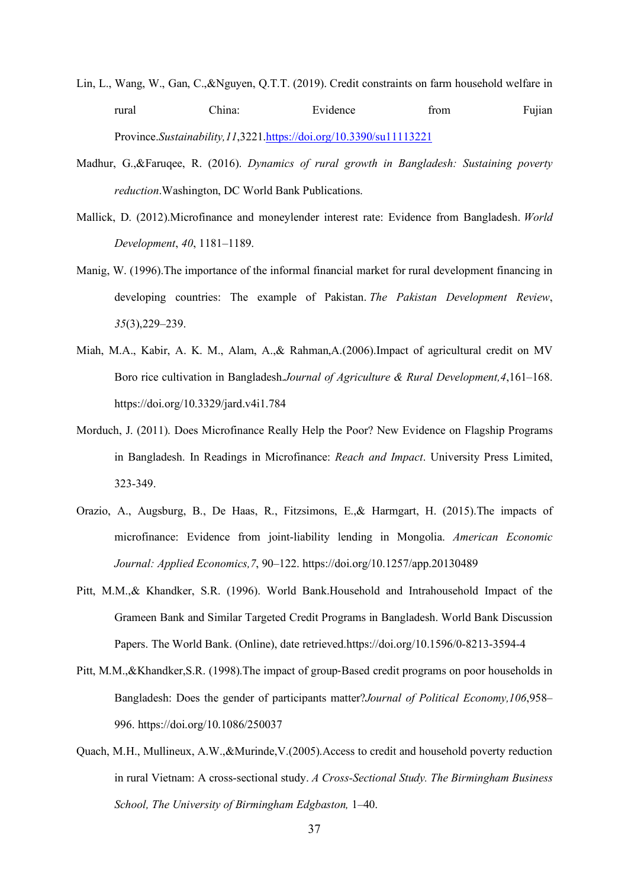- Lin, L., Wang, W., Gan, C.,&Nguyen, Q.T.T. (2019). Credit constraints on farm household welfare in rural China: Evidence from Fujian Province.*Sustainability,11*,3221.https://doi.org/10.3390/su11113221
- Madhur, G.,&Faruqee, R. (2016). *Dynamics of rural growth in Bangladesh: Sustaining poverty reduction*.Washington, DC World Bank Publications.
- Mallick, D. (2012).Microfinance and moneylender interest rate: Evidence from Bangladesh. *World Development*, *40*, 1181–1189.
- Manig, W. (1996).The importance of the informal financial market for rural development financing in developing countries: The example of Pakistan. *The Pakistan Development Review*, *35*(3),229–239.
- Miah, M.A., Kabir, A. K. M., Alam, A.,& Rahman,A.(2006).Impact of agricultural credit on MV Boro rice cultivation in Bangladesh.*Journal of Agriculture & Rural Development,4*,161–168. https://doi.org/10.3329/jard.v4i1.784
- Morduch, J. (2011). Does Microfinance Really Help the Poor? New Evidence on Flagship Programs in Bangladesh. In Readings in Microfinance: *Reach and Impact*. University Press Limited, 323-349.
- Orazio, A., Augsburg, B., De Haas, R., Fitzsimons, E.,& Harmgart, H. (2015).The impacts of microfinance: Evidence from joint-liability lending in Mongolia. *American Economic Journal: Applied Economics,7*, 90–122. https://doi.org/10.1257/app.20130489
- Pitt, M.M.,& Khandker, S.R. (1996). World Bank.Household and Intrahousehold Impact of the Grameen Bank and Similar Targeted Credit Programs in Bangladesh. World Bank Discussion Papers. The World Bank. (Online), date retrieved.https://doi.org/10.1596/0-8213-3594-4
- Pitt, M.M.,&Khandker,S.R. (1998).The impact of group-Based credit programs on poor households in Bangladesh: Does the gender of participants matter?*Journal of Political Economy,106*,958– 996. https://doi.org/10.1086/250037
- Quach, M.H., Mullineux, A.W.,&Murinde,V.(2005).Access to credit and household poverty reduction in rural Vietnam: A cross-sectional study. *A Cross-Sectional Study. The Birmingham Business School, The University of Birmingham Edgbaston,* 1–40.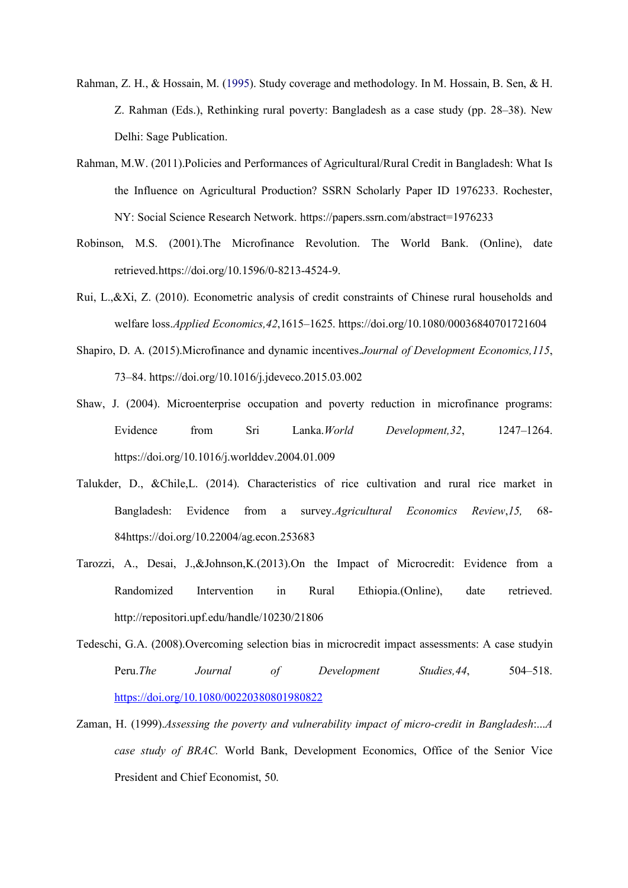- Rahman, Z. H., & Hossain, M. (1995). Study coverage and methodology. In M. Hossain, B. Sen, & H. Z. Rahman (Eds.), Rethinking rural poverty: Bangladesh as a case study (pp. 28–38). New Delhi: Sage Publication.
- Rahman, M.W. (2011).Policies and Performances of Agricultural/Rural Credit in Bangladesh: What Is the Influence on Agricultural Production? SSRN Scholarly Paper ID 1976233. Rochester, NY: Social Science Research Network. https://papers.ssrn.com/abstract=1976233
- Robinson, M.S. (2001).The Microfinance Revolution. The World Bank. (Online), date retrieved.https://doi.org/10.1596/0-8213-4524-9.
- Rui, L.,&Xi, Z. (2010). Econometric analysis of credit constraints of Chinese rural households and welfare loss.*Applied Economics,42*,1615–1625. https://doi.org/10.1080/00036840701721604
- Shapiro, D. A. (2015).Microfinance and dynamic incentives.*Journal of Development Economics,115*, 73–84. https://doi.org/10.1016/j.jdeveco.2015.03.002
- Shaw, J. (2004). Microenterprise occupation and poverty reduction in microfinance programs: Evidence from Sri Lanka.*World Development,32*, 1247–1264. https://doi.org/10.1016/j.worlddev.2004.01.009
- Talukder, D., &Chile,L. (2014). Characteristics of rice cultivation and rural rice market in Bangladesh: Evidence from a survey.*Agricultural Economics Review*,*15,* 68- 84https://doi.org/10.22004/ag.econ.253683
- Tarozzi, A., Desai, J.,&Johnson,K.(2013).On the Impact of Microcredit: Evidence from a Randomized Intervention in Rural Ethiopia.(Online), date retrieved. http://repositori.upf.edu/handle/10230/21806
- Tedeschi, G.A. (2008).Overcoming selection bias in microcredit impact assessments: A case studyin Peru.*The Journal of Development Studies,44*, 504–518. https://doi.org/10.1080/00220380801980822
- Zaman, H. (1999).*Assessing the poverty and vulnerability impact of micro-credit in Bangladesh*:...*A case study of BRAC.* World Bank, Development Economics, Office of the Senior Vice President and Chief Economist, 50.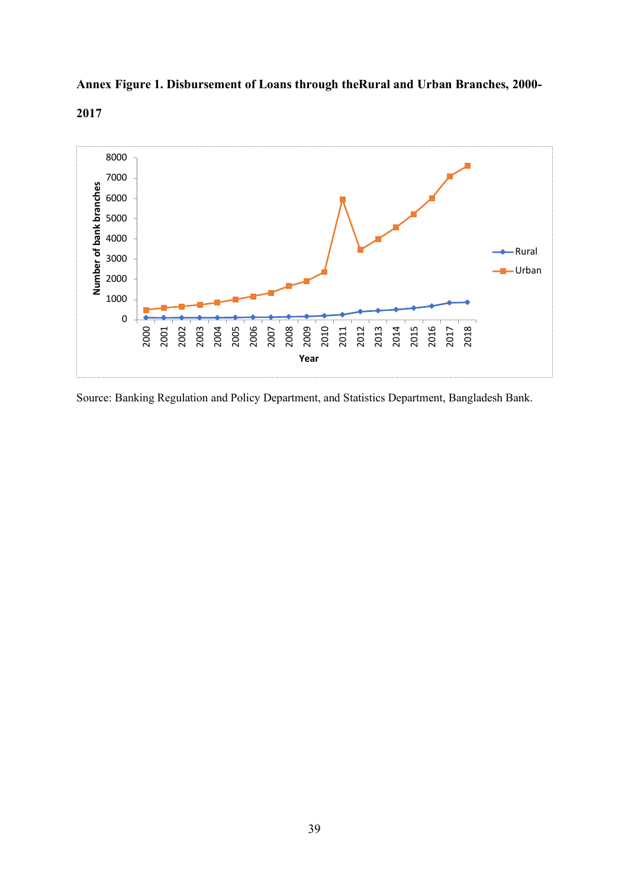# **Annex Figure 1. Disbursement of Loans through theRural and Urban Branches, 2000-**



Source: Banking Regulation and Policy Department, and Statistics Department, Bangladesh Bank.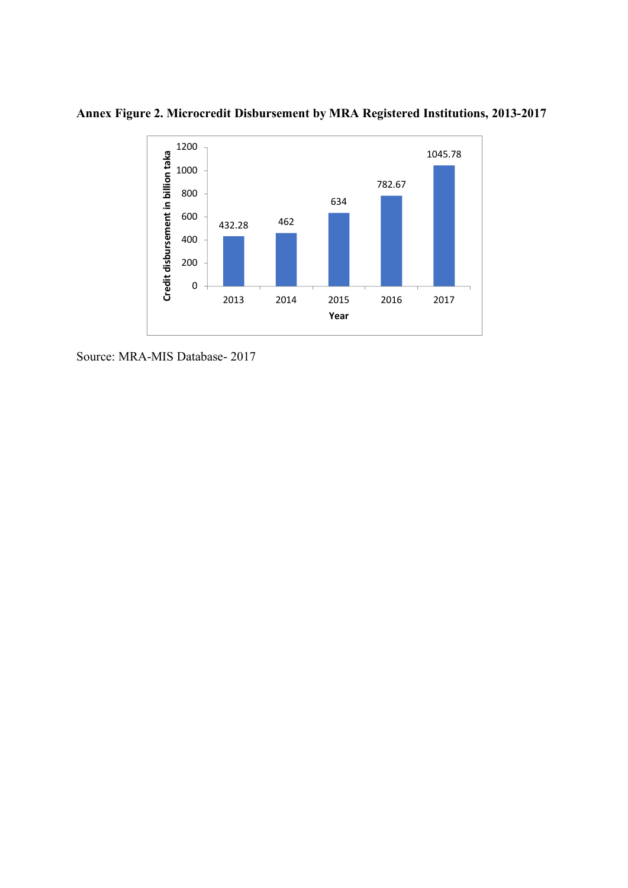

**Annex Figure 2. Microcredit Disbursement by MRA Registered Institutions, 2013-2017**

Source: MRA-MIS Database- 2017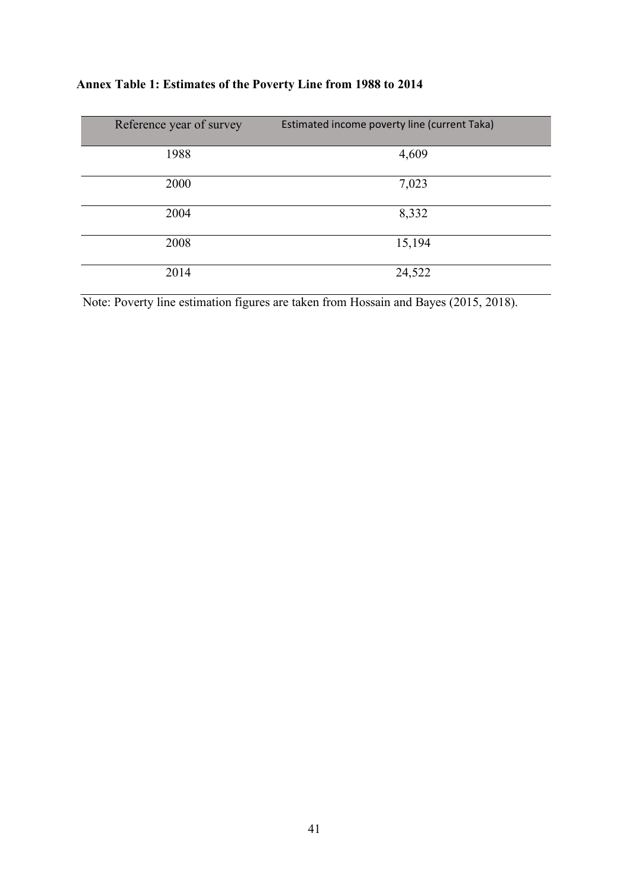|  | Annex Table 1: Estimates of the Poverty Line from 1988 to 2014 |  |  |  |  |
|--|----------------------------------------------------------------|--|--|--|--|
|--|----------------------------------------------------------------|--|--|--|--|

| Reference year of survey | Estimated income poverty line (current Taka) |
|--------------------------|----------------------------------------------|
| 1988                     | 4,609                                        |
| 2000                     | 7,023                                        |
| 2004                     | 8,332                                        |
| 2008                     | 15,194                                       |
| 2014                     | 24,522                                       |

Note: Poverty line estimation figures are taken from Hossain and Bayes (2015, 2018).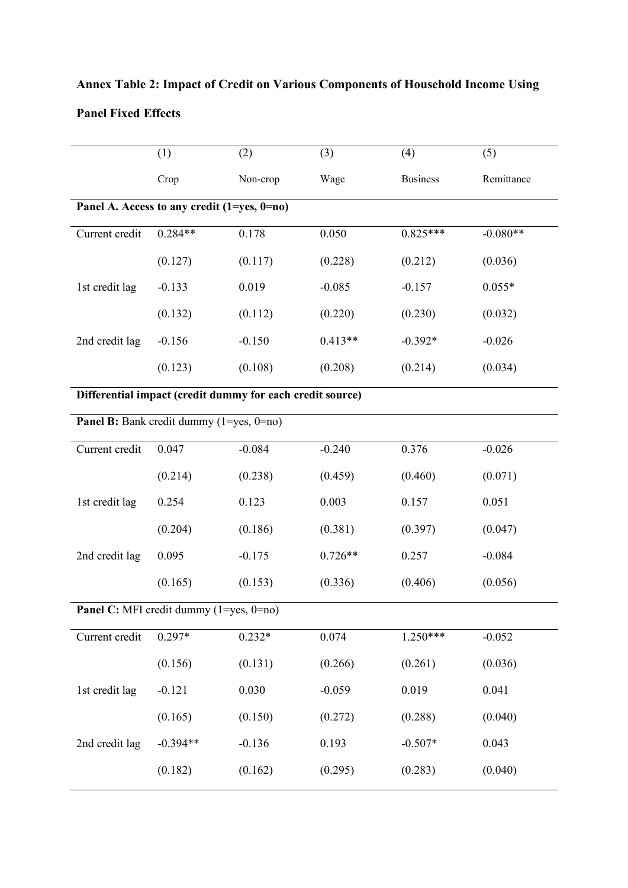|                                                           | (1)                                         | (2)      | (3)       | (4)             | (5)        |  |
|-----------------------------------------------------------|---------------------------------------------|----------|-----------|-----------------|------------|--|
|                                                           | Crop                                        | Non-crop | Wage      | <b>Business</b> | Remittance |  |
|                                                           | Panel A. Access to any credit (1=yes, 0=no) |          |           |                 |            |  |
| Current credit                                            | $0.284**$                                   | 0.178    | 0.050     | $0.825***$      | $-0.080**$ |  |
|                                                           | (0.127)                                     | (0.117)  | (0.228)   | (0.212)         | (0.036)    |  |
| 1st credit lag                                            | $-0.133$                                    | 0.019    | $-0.085$  | $-0.157$        | $0.055*$   |  |
|                                                           | (0.132)                                     | (0.112)  | (0.220)   | (0.230)         | (0.032)    |  |
| 2nd credit lag                                            | $-0.156$                                    | $-0.150$ | $0.413**$ | $-0.392*$       | $-0.026$   |  |
|                                                           | (0.123)                                     | (0.108)  | (0.208)   | (0.214)         | (0.034)    |  |
| Differential impact (credit dummy for each credit source) |                                             |          |           |                 |            |  |
|                                                           | Panel B: Bank credit dummy (1=yes, 0=no)    |          |           |                 |            |  |
| Current credit                                            | 0.047                                       | $-0.084$ | $-0.240$  | 0.376           | $-0.026$   |  |
|                                                           | (0.214)                                     | (0.238)  | (0.459)   | (0.460)         | (0.071)    |  |
| 1st credit lag                                            | 0.254                                       | 0.123    | 0.003     | 0.157           | 0.051      |  |
|                                                           | (0.204)                                     | (0.186)  | (0.381)   | (0.397)         | (0.047)    |  |
| 2nd credit lag                                            | 0.095                                       | $-0.175$ | $0.726**$ | 0.257           | $-0.084$   |  |
|                                                           | (0.165)                                     | (0.153)  | (0.336)   | (0.406)         | (0.056)    |  |
|                                                           | Panel C: MFI credit dummy (1=yes, 0=no)     |          |           |                 |            |  |
| Current credit                                            | $0.297*$                                    | $0.232*$ | 0.074     | $1.250***$      | $-0.052$   |  |
|                                                           | (0.156)                                     | (0.131)  | (0.266)   | (0.261)         | (0.036)    |  |
| 1st credit lag                                            | $-0.121$                                    | 0.030    | $-0.059$  | 0.019           | 0.041      |  |
|                                                           | (0.165)                                     | (0.150)  | (0.272)   | (0.288)         | (0.040)    |  |
| 2nd credit lag                                            | $-0.394**$                                  | $-0.136$ | 0.193     | $-0.507*$       | 0.043      |  |
|                                                           | (0.182)                                     | (0.162)  | (0.295)   | (0.283)         | (0.040)    |  |

# **Annex Table 2: Impact of Credit on Various Components of Household Income Using Panel Fixed Effects**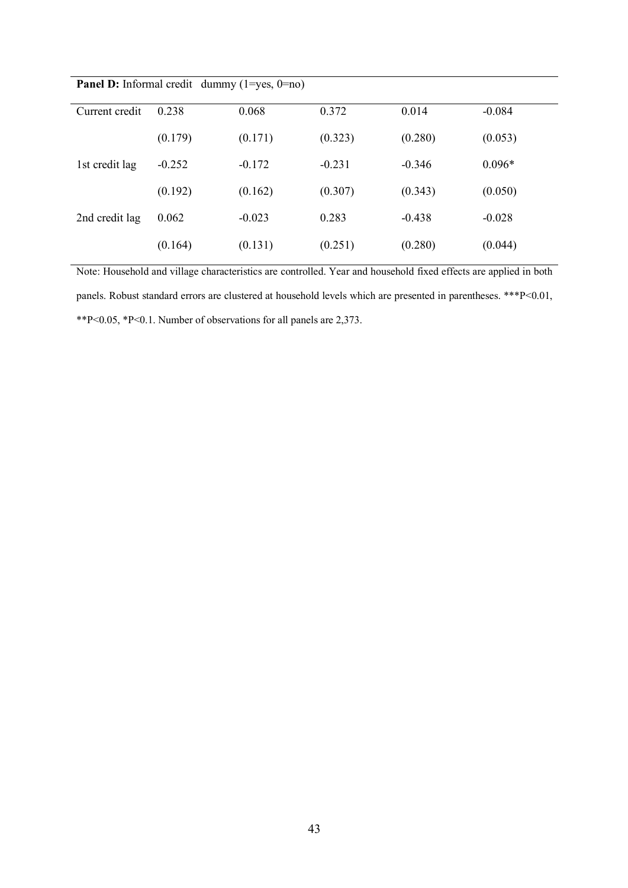| Current credit | 0.238    | 0.068    | 0.372    | 0.014    | $-0.084$ |
|----------------|----------|----------|----------|----------|----------|
|                | (0.179)  | (0.171)  | (0.323)  | (0.280)  | (0.053)  |
| 1st credit lag | $-0.252$ | $-0.172$ | $-0.231$ | $-0.346$ | $0.096*$ |
|                | (0.192)  | (0.162)  | (0.307)  | (0.343)  | (0.050)  |
| 2nd credit lag | 0.062    | $-0.023$ | 0.283    | $-0.438$ | $-0.028$ |
|                | (0.164)  | (0.131)  | (0.251)  | (0.280)  | (0.044)  |

**Panel D:** Informal credit dummy (1=yes, 0=no)

Note: Household and village characteristics are controlled. Year and household fixed effects are applied in both panels. Robust standard errors are clustered at household levels which are presented in parentheses. \*\*\*P<0.01, \*\*P<0.05, \*P<0.1. Number of observations for all panels are 2,373.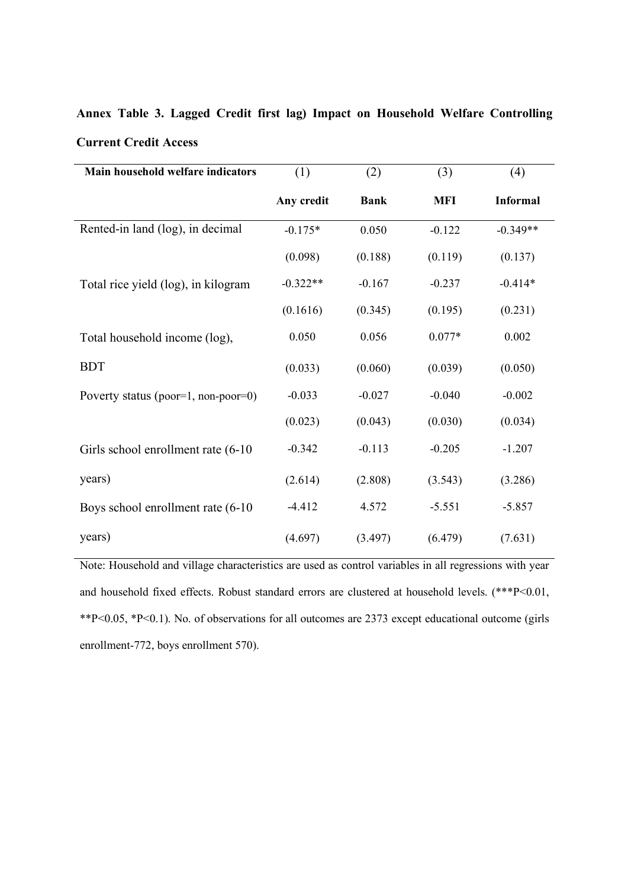| Main household welfare indicators   | (1)        | (2)         | (3)        | (4)             |
|-------------------------------------|------------|-------------|------------|-----------------|
|                                     | Any credit | <b>Bank</b> | <b>MFI</b> | <b>Informal</b> |
| Rented-in land (log), in decimal    | $-0.175*$  | 0.050       | $-0.122$   | $-0.349**$      |
|                                     | (0.098)    | (0.188)     | (0.119)    | (0.137)         |
| Total rice yield (log), in kilogram | $-0.322**$ | $-0.167$    | $-0.237$   | $-0.414*$       |
|                                     | (0.1616)   | (0.345)     | (0.195)    | (0.231)         |
| Total household income (log),       | 0.050      | 0.056       | $0.077*$   | 0.002           |
| <b>BDT</b>                          | (0.033)    | (0.060)     | (0.039)    | (0.050)         |
| Poverty status (poor=1, non-poor=0) | $-0.033$   | $-0.027$    | $-0.040$   | $-0.002$        |
|                                     | (0.023)    | (0.043)     | (0.030)    | (0.034)         |
| Girls school enrollment rate (6-10) | $-0.342$   | $-0.113$    | $-0.205$   | $-1.207$        |
| years)                              | (2.614)    | (2.808)     | (3.543)    | (3.286)         |
| Boys school enrollment rate (6-10)  | $-4.412$   | 4.572       | $-5.551$   | $-5.857$        |
| years)                              | (4.697)    | (3.497)     | (6.479)    | (7.631)         |

**Annex Table 3. Lagged Credit first lag) Impact on Household Welfare Controlling Current Credit Access**

Note: Household and village characteristics are used as control variables in all regressions with year and household fixed effects. Robust standard errors are clustered at household levels. (\*\*\*P<0.01, \*\*P<0.05, \*P<0.1). No. of observations for all outcomes are 2373 except educational outcome (girls enrollment-772, boys enrollment 570).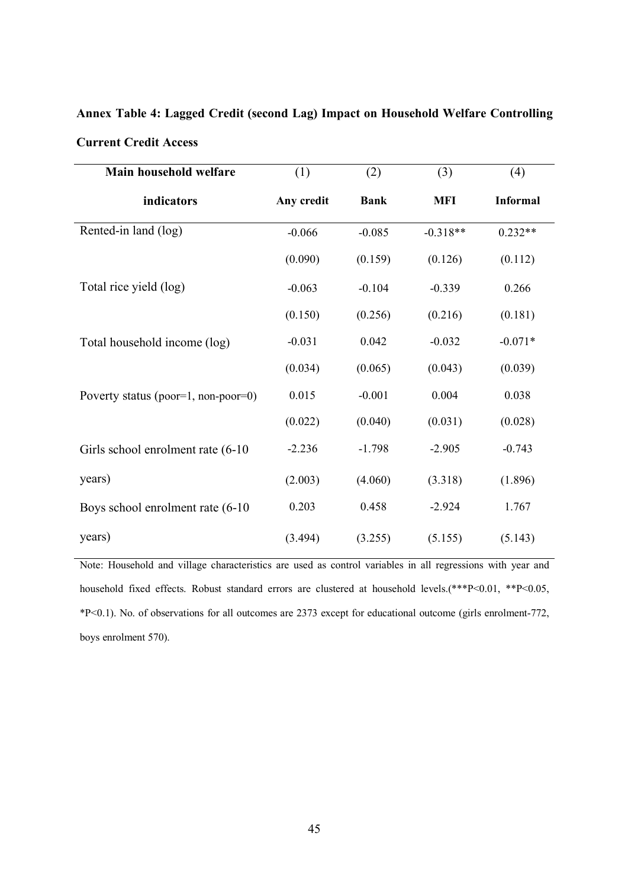| Main household welfare              | (1)        | (2)         | (3)        | (4)             |  |
|-------------------------------------|------------|-------------|------------|-----------------|--|
| indicators                          | Any credit | <b>Bank</b> | <b>MFI</b> | <b>Informal</b> |  |
| Rented-in land (log)                | $-0.066$   | $-0.085$    | $-0.318**$ | $0.232**$       |  |
|                                     | (0.090)    | (0.159)     | (0.126)    | (0.112)         |  |
| Total rice yield (log)              | $-0.063$   | $-0.104$    | $-0.339$   | 0.266           |  |
|                                     | (0.150)    | (0.256)     | (0.216)    | (0.181)         |  |
| Total household income (log)        | $-0.031$   | 0.042       | $-0.032$   | $-0.071*$       |  |
|                                     | (0.034)    | (0.065)     | (0.043)    | (0.039)         |  |
| Poverty status (poor=1, non-poor=0) | 0.015      | $-0.001$    | 0.004      | 0.038           |  |
|                                     | (0.022)    | (0.040)     | (0.031)    | (0.028)         |  |
| Girls school enrolment rate (6-10)  | $-2.236$   | $-1.798$    | $-2.905$   | $-0.743$        |  |
| years)                              | (2.003)    | (4.060)     | (3.318)    | (1.896)         |  |
| Boys school enrolment rate (6-10    | 0.203      | 0.458       | $-2.924$   | 1.767           |  |
| years)                              | (3.494)    | (3.255)     | (5.155)    | (5.143)         |  |

**Annex Table 4: Lagged Credit (second Lag) Impact on Household Welfare Controlling Current Credit Access**

Note: Household and village characteristics are used as control variables in all regressions with year and household fixed effects. Robust standard errors are clustered at household levels.(\*\*\*P<0.01, \*\*P<0.05, \*P<0.1). No. of observations for all outcomes are 2373 except for educational outcome (girls enrolment-772, boys enrolment 570).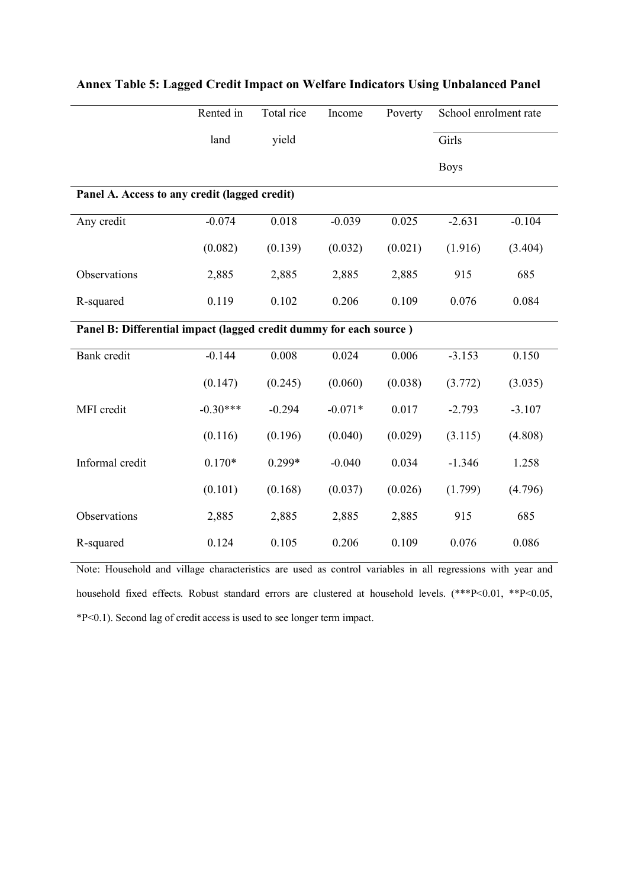|                                                                    | Rented in  | Total rice | Income    | Poverty | School enrolment rate |          |  |
|--------------------------------------------------------------------|------------|------------|-----------|---------|-----------------------|----------|--|
|                                                                    | land       | yield      |           |         | Girls                 |          |  |
|                                                                    |            |            |           |         | <b>Boys</b>           |          |  |
| Panel A. Access to any credit (lagged credit)                      |            |            |           |         |                       |          |  |
| Any credit                                                         | $-0.074$   | 0.018      | $-0.039$  | 0.025   | $-2.631$              | $-0.104$ |  |
|                                                                    | (0.082)    | (0.139)    | (0.032)   | (0.021) | (1.916)               | (3.404)  |  |
| Observations                                                       | 2,885      | 2,885      | 2,885     | 2,885   | 915                   | 685      |  |
| R-squared                                                          | 0.119      | 0.102      | 0.206     | 0.109   | 0.076                 | 0.084    |  |
| Panel B: Differential impact (lagged credit dummy for each source) |            |            |           |         |                       |          |  |
| <b>Bank</b> credit                                                 | $-0.144$   | 0.008      | 0.024     | 0.006   | $-3.153$              | 0.150    |  |
|                                                                    | (0.147)    | (0.245)    | (0.060)   | (0.038) | (3.772)               | (3.035)  |  |
| MFI credit                                                         | $-0.30***$ | $-0.294$   | $-0.071*$ | 0.017   | $-2.793$              | $-3.107$ |  |
|                                                                    | (0.116)    | (0.196)    | (0.040)   | (0.029) | (3.115)               | (4.808)  |  |
| Informal credit                                                    | $0.170*$   | 0.299*     | $-0.040$  | 0.034   | $-1.346$              | 1.258    |  |
|                                                                    | (0.101)    | (0.168)    | (0.037)   | (0.026) | (1.799)               | (4.796)  |  |
| Observations                                                       | 2,885      | 2,885      | 2,885     | 2,885   | 915                   | 685      |  |
| R-squared                                                          | 0.124      | 0.105      | 0.206     | 0.109   | 0.076                 | 0.086    |  |

## **Annex Table 5: Lagged Credit Impact on Welfare Indicators Using Unbalanced Panel**

Note: Household and village characteristics are used as control variables in all regressions with year and household fixed effects. Robust standard errors are clustered at household levels. (\*\*\*P<0.01, \*\*P<0.05, \*P<0.1). Second lag of credit access is used to see longer term impact.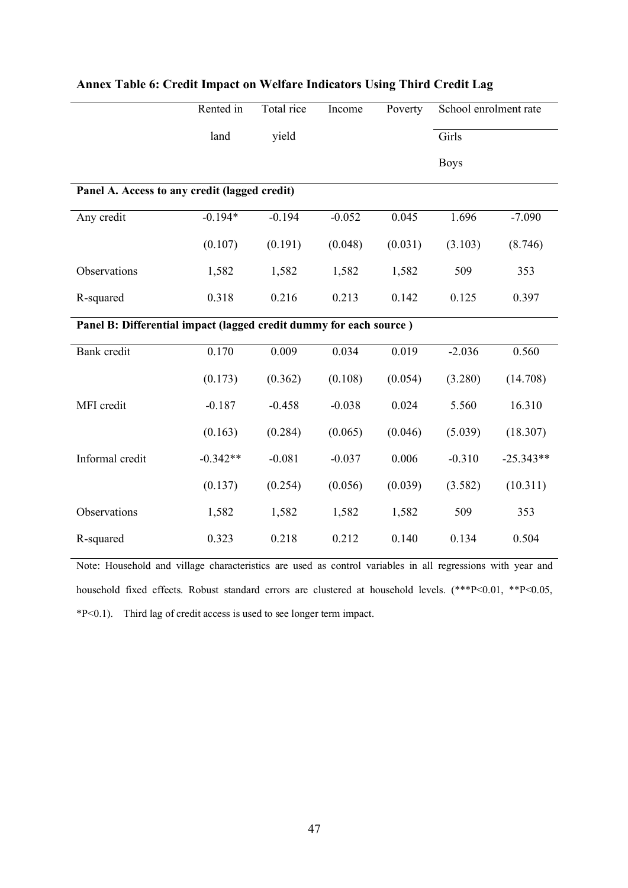|                                                                    | Rented in  | Total rice | Income   | Poverty | School enrolment rate |             |  |  |
|--------------------------------------------------------------------|------------|------------|----------|---------|-----------------------|-------------|--|--|
|                                                                    | land       | yield      |          |         | Girls                 |             |  |  |
|                                                                    |            |            |          |         | <b>Boys</b>           |             |  |  |
| Panel A. Access to any credit (lagged credit)                      |            |            |          |         |                       |             |  |  |
| Any credit                                                         | $-0.194*$  | $-0.194$   | $-0.052$ | 0.045   | 1.696                 | $-7.090$    |  |  |
|                                                                    | (0.107)    | (0.191)    | (0.048)  | (0.031) | (3.103)               | (8.746)     |  |  |
| Observations                                                       | 1,582      | 1,582      | 1,582    | 1,582   | 509                   | 353         |  |  |
| R-squared                                                          | 0.318      | 0.216      | 0.213    | 0.142   | 0.125                 | 0.397       |  |  |
| Panel B: Differential impact (lagged credit dummy for each source) |            |            |          |         |                       |             |  |  |
| Bank credit                                                        | 0.170      | 0.009      | 0.034    | 0.019   | $-2.036$              | 0.560       |  |  |
|                                                                    | (0.173)    | (0.362)    | (0.108)  | (0.054) | (3.280)               | (14.708)    |  |  |
| MFI credit                                                         | $-0.187$   | $-0.458$   | $-0.038$ | 0.024   | 5.560                 | 16.310      |  |  |
|                                                                    | (0.163)    | (0.284)    | (0.065)  | (0.046) | (5.039)               | (18.307)    |  |  |
| Informal credit                                                    | $-0.342**$ | $-0.081$   | $-0.037$ | 0.006   | $-0.310$              | $-25.343**$ |  |  |
|                                                                    | (0.137)    | (0.254)    | (0.056)  | (0.039) | (3.582)               | (10.311)    |  |  |
| Observations                                                       | 1,582      | 1,582      | 1,582    | 1,582   | 509                   | 353         |  |  |
| R-squared                                                          | 0.323      | 0.218      | 0.212    | 0.140   | 0.134                 | 0.504       |  |  |

## **Annex Table 6: Credit Impact on Welfare Indicators Using Third Credit Lag**

Note: Household and village characteristics are used as control variables in all regressions with year and household fixed effects. Robust standard errors are clustered at household levels. (\*\*\*P<0.01, \*\*P<0.05, \*P<0.1). Third lag of credit access is used to see longer term impact.